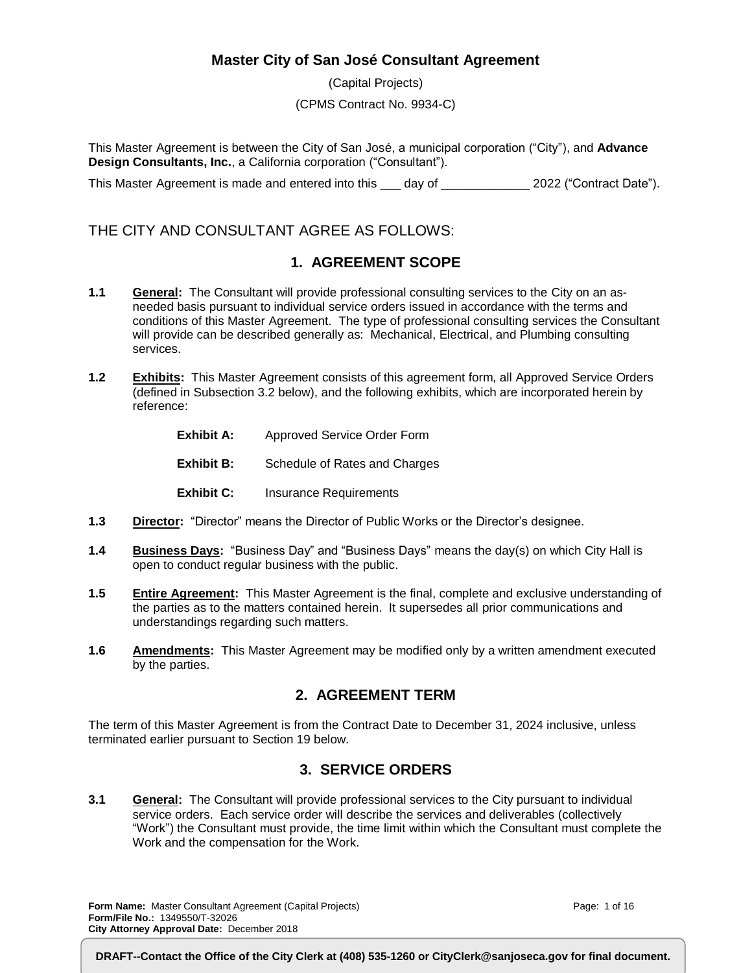#### **Master City of San José Consultant Agreement**

(Capital Projects) (CPMS Contract No. 9934-C)

This Master Agreement is between the City of San José, a municipal corporation ("City"), and **Advance Design Consultants, Inc.**, a California corporation ("Consultant").

This Master Agreement is made and entered into this \_\_\_ day of \_\_\_\_\_\_\_\_\_\_\_\_\_\_ 2022 ("Contract Date").

### THE CITY AND CONSULTANT AGREE AS FOLLOWS:

### **1. AGREEMENT SCOPE**

- **1.1 General:** The Consultant will provide professional consulting services to the City on an asneeded basis pursuant to individual service orders issued in accordance with the terms and conditions of this Master Agreement. The type of professional consulting services the Consultant will provide can be described generally as: Mechanical, Electrical, and Plumbing consulting services.
- **1.2 Exhibits:** This Master Agreement consists of this agreement form, all Approved Service Orders (defined in Subsection 3.2 below), and the following exhibits, which are incorporated herein by reference:
	- **Exhibit A:** Approved Service Order Form
	- **Exhibit B:** Schedule of Rates and Charges
	- **Exhibit C:** Insurance Requirements
- **1.3 Director:** "Director" means the Director of Public Works or the Director's designee.
- **1.4 Business Days:** "Business Day" and "Business Days" means the day(s) on which City Hall is open to conduct regular business with the public.
- **1.5 Entire Agreement:** This Master Agreement is the final, complete and exclusive understanding of the parties as to the matters contained herein. It supersedes all prior communications and understandings regarding such matters.
- **1.6 Amendments:** This Master Agreement may be modified only by a written amendment executed by the parties.

#### **2. AGREEMENT TERM**

The term of this Master Agreement is from the Contract Date to December 31, 2024 inclusive, unless terminated earlier pursuant to Section 19 below.

#### **3. SERVICE ORDERS**

**3.1 General:** The Consultant will provide professional services to the City pursuant to individual service orders. Each service order will describe the services and deliverables (collectively "Work") the Consultant must provide, the time limit within which the Consultant must complete the Work and the compensation for the Work.

**Form Name:** Master Consultant Agreement (Capital Projects) **Form/File No.:** 1349550/T-32026 **City Attorney Approval Date:** December 2018

Page: 1 of 16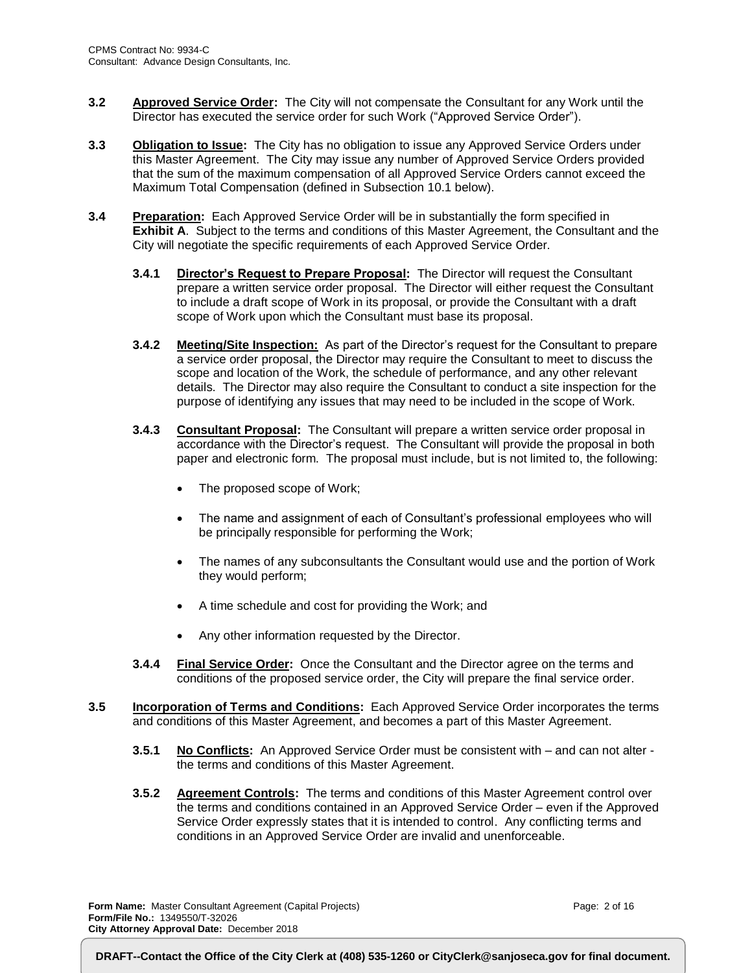- **3.2 Approved Service Order:** The City will not compensate the Consultant for any Work until the Director has executed the service order for such Work ("Approved Service Order").
- **3.3 Obligation to Issue:** The City has no obligation to issue any Approved Service Orders under this Master Agreement. The City may issue any number of Approved Service Orders provided that the sum of the maximum compensation of all Approved Service Orders cannot exceed the Maximum Total Compensation (defined in Subsection 10.1 below).
- **3.4 Preparation:** Each Approved Service Order will be in substantially the form specified in **Exhibit A**. Subject to the terms and conditions of this Master Agreement, the Consultant and the City will negotiate the specific requirements of each Approved Service Order.
	- **3.4.1 Director's Request to Prepare Proposal:** The Director will request the Consultant prepare a written service order proposal. The Director will either request the Consultant to include a draft scope of Work in its proposal, or provide the Consultant with a draft scope of Work upon which the Consultant must base its proposal.
	- **3.4.2 Meeting/Site Inspection:** As part of the Director's request for the Consultant to prepare a service order proposal, the Director may require the Consultant to meet to discuss the scope and location of the Work, the schedule of performance, and any other relevant details. The Director may also require the Consultant to conduct a site inspection for the purpose of identifying any issues that may need to be included in the scope of Work.
	- **3.4.3 Consultant Proposal:** The Consultant will prepare a written service order proposal in accordance with the Director's request. The Consultant will provide the proposal in both paper and electronic form. The proposal must include, but is not limited to, the following:
		- The proposed scope of Work;
		- The name and assignment of each of Consultant's professional employees who will be principally responsible for performing the Work;
		- The names of any subconsultants the Consultant would use and the portion of Work they would perform;
		- A time schedule and cost for providing the Work; and
		- Any other information requested by the Director.
	- **3.4.4 Final Service Order:** Once the Consultant and the Director agree on the terms and conditions of the proposed service order, the City will prepare the final service order.
- **3.5 Incorporation of Terms and Conditions:** Each Approved Service Order incorporates the terms and conditions of this Master Agreement, and becomes a part of this Master Agreement.
	- **3.5.1 No Conflicts:** An Approved Service Order must be consistent with and can not alter the terms and conditions of this Master Agreement.
	- **3.5.2 Agreement Controls:** The terms and conditions of this Master Agreement control over the terms and conditions contained in an Approved Service Order – even if the Approved Service Order expressly states that it is intended to control. Any conflicting terms and conditions in an Approved Service Order are invalid and unenforceable.

**Form Name:** Master Consultant Agreement (Capital Projects) **Form/File No.:** 1349550/T-32026 **City Attorney Approval Date:** December 2018

Page: 2 of 16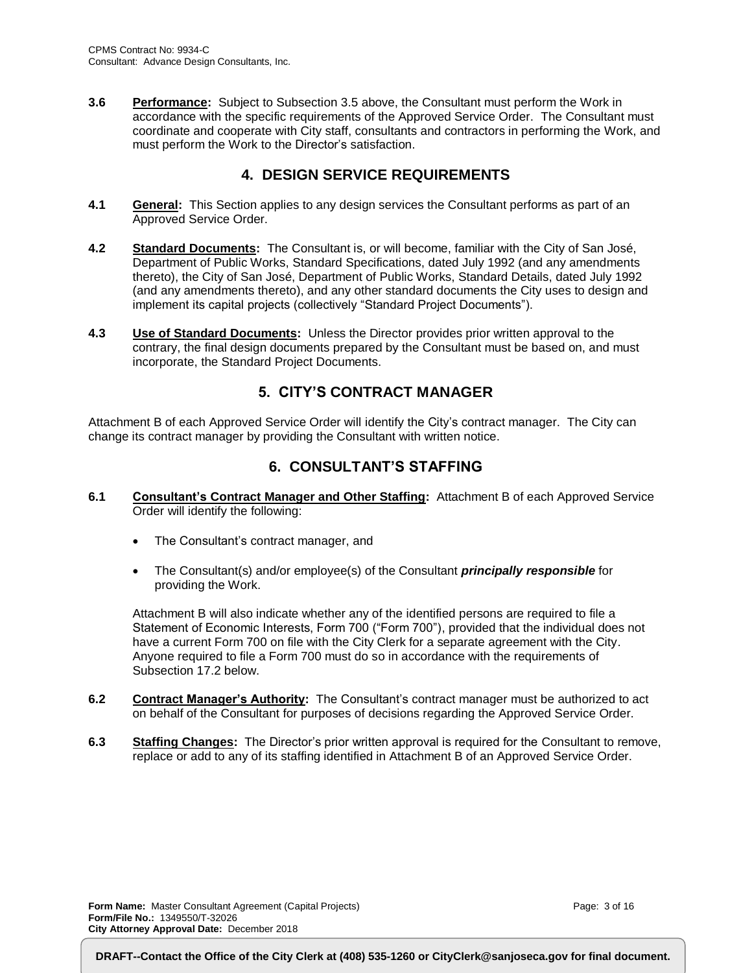**3.6 Performance:** Subject to Subsection 3.5 above, the Consultant must perform the Work in accordance with the specific requirements of the Approved Service Order. The Consultant must coordinate and cooperate with City staff, consultants and contractors in performing the Work, and must perform the Work to the Director's satisfaction.

### **4. DESIGN SERVICE REQUIREMENTS**

- **4.1 General:** This Section applies to any design services the Consultant performs as part of an Approved Service Order.
- **4.2 Standard Documents:** The Consultant is, or will become, familiar with the City of San José, Department of Public Works, Standard Specifications, dated July 1992 (and any amendments thereto), the City of San José, Department of Public Works, Standard Details, dated July 1992 (and any amendments thereto), and any other standard documents the City uses to design and implement its capital projects (collectively "Standard Project Documents").
- **4.3 Use of Standard Documents:** Unless the Director provides prior written approval to the contrary, the final design documents prepared by the Consultant must be based on, and must incorporate, the Standard Project Documents.

#### **5. CITY'S CONTRACT MANAGER**

Attachment B of each Approved Service Order will identify the City's contract manager. The City can change its contract manager by providing the Consultant with written notice.

### **6. CONSULTANT'S STAFFING**

- **6.1 Consultant's Contract Manager and Other Staffing:** Attachment B of each Approved Service Order will identify the following:
	- The Consultant's contract manager, and
	- The Consultant(s) and/or employee(s) of the Consultant *principally responsible* for providing the Work.

Attachment B will also indicate whether any of the identified persons are required to file a Statement of Economic Interests, Form 700 ("Form 700"), provided that the individual does not have a current Form 700 on file with the City Clerk for a separate agreement with the City. Anyone required to file a Form 700 must do so in accordance with the requirements of Subsection 17.2 below.

- **6.2 Contract Manager's Authority:** The Consultant's contract manager must be authorized to act on behalf of the Consultant for purposes of decisions regarding the Approved Service Order.
- **6.3 Staffing Changes:** The Director's prior written approval is required for the Consultant to remove, replace or add to any of its staffing identified in Attachment B of an Approved Service Order.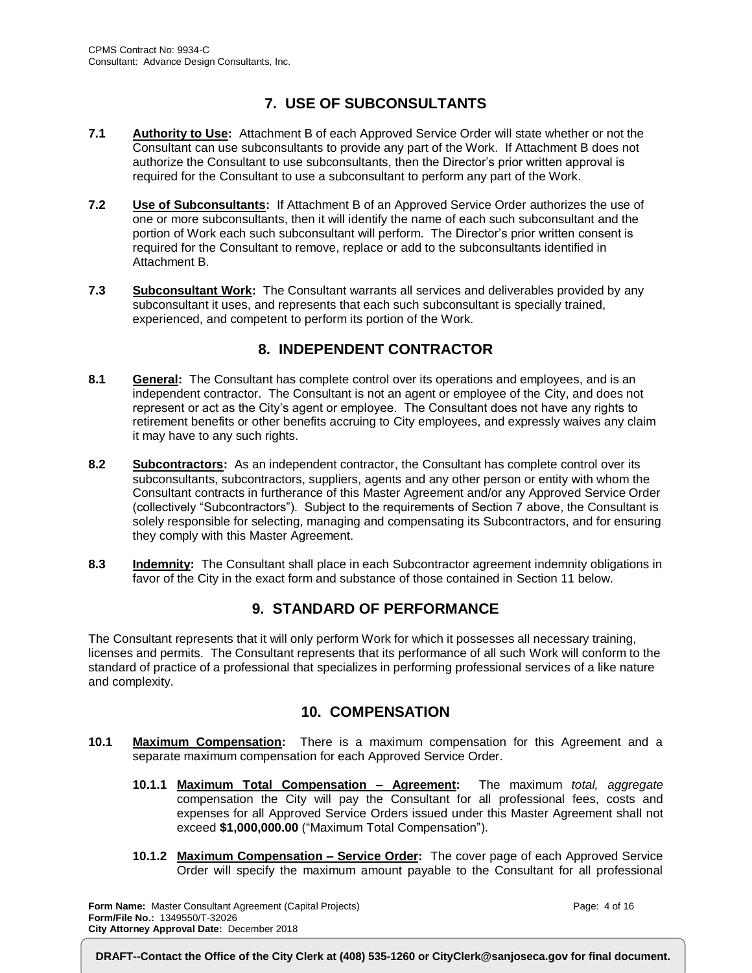## **7. USE OF SUBCONSULTANTS**

- **7.1 Authority to Use:** Attachment B of each Approved Service Order will state whether or not the Consultant can use subconsultants to provide any part of the Work. If Attachment B does not authorize the Consultant to use subconsultants, then the Director's prior written approval is required for the Consultant to use a subconsultant to perform any part of the Work.
- **7.2 Use of Subconsultants:** If Attachment B of an Approved Service Order authorizes the use of one or more subconsultants, then it will identify the name of each such subconsultant and the portion of Work each such subconsultant will perform. The Director's prior written consent is required for the Consultant to remove, replace or add to the subconsultants identified in Attachment B.
- **7.3 Subconsultant Work:** The Consultant warrants all services and deliverables provided by any subconsultant it uses, and represents that each such subconsultant is specially trained, experienced, and competent to perform its portion of the Work.

### **8. INDEPENDENT CONTRACTOR**

- **8.1 General:** The Consultant has complete control over its operations and employees, and is an independent contractor. The Consultant is not an agent or employee of the City, and does not represent or act as the City's agent or employee. The Consultant does not have any rights to retirement benefits or other benefits accruing to City employees, and expressly waives any claim it may have to any such rights.
- **8.2 Subcontractors:** As an independent contractor, the Consultant has complete control over its subconsultants, subcontractors, suppliers, agents and any other person or entity with whom the Consultant contracts in furtherance of this Master Agreement and/or any Approved Service Order (collectively "Subcontractors"). Subject to the requirements of Section 7 above, the Consultant is solely responsible for selecting, managing and compensating its Subcontractors, and for ensuring they comply with this Master Agreement.
- **8.3 Indemnity:** The Consultant shall place in each Subcontractor agreement indemnity obligations in favor of the City in the exact form and substance of those contained in Section 11 below.

### **9. STANDARD OF PERFORMANCE**

The Consultant represents that it will only perform Work for which it possesses all necessary training, licenses and permits. The Consultant represents that its performance of all such Work will conform to the standard of practice of a professional that specializes in performing professional services of a like nature and complexity.

#### **10. COMPENSATION**

- **10.1 Maximum Compensation:** There is a maximum compensation for this Agreement and a separate maximum compensation for each Approved Service Order.
	- **10.1.1 Maximum Total Compensation – Agreement:** The maximum *total, aggregate* compensation the City will pay the Consultant for all professional fees, costs and expenses for all Approved Service Orders issued under this Master Agreement shall not exceed **\$1,000,000.00** ("Maximum Total Compensation").
	- **10.1.2 Maximum Compensation – Service Order:** The cover page of each Approved Service Order will specify the maximum amount payable to the Consultant for all professional

**Form Name:** Master Consultant Agreement (Capital Projects) **Form/File No.:** 1349550/T-32026 **City Attorney Approval Date:** December 2018

Page: 4 of 16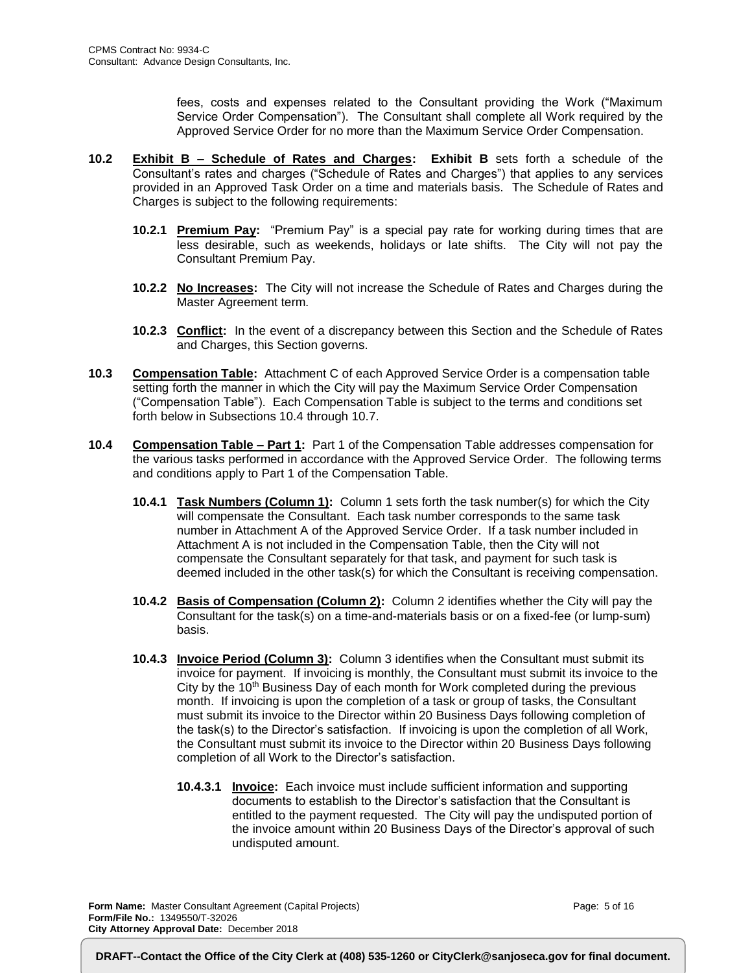fees, costs and expenses related to the Consultant providing the Work ("Maximum Service Order Compensation"). The Consultant shall complete all Work required by the Approved Service Order for no more than the Maximum Service Order Compensation.

- **10.2 Exhibit B – Schedule of Rates and Charges: Exhibit B** sets forth a schedule of the Consultant's rates and charges ("Schedule of Rates and Charges") that applies to any services provided in an Approved Task Order on a time and materials basis. The Schedule of Rates and Charges is subject to the following requirements:
	- **10.2.1 Premium Pay:** "Premium Pay" is a special pay rate for working during times that are less desirable, such as weekends, holidays or late shifts. The City will not pay the Consultant Premium Pay.
	- **10.2.2 No Increases:** The City will not increase the Schedule of Rates and Charges during the Master Agreement term.
	- **10.2.3 Conflict:** In the event of a discrepancy between this Section and the Schedule of Rates and Charges, this Section governs.
- **10.3 Compensation Table:** Attachment C of each Approved Service Order is a compensation table setting forth the manner in which the City will pay the Maximum Service Order Compensation ("Compensation Table"). Each Compensation Table is subject to the terms and conditions set forth below in Subsections 10.4 through 10.7.
- **10.4 Compensation Table – Part 1:** Part 1 of the Compensation Table addresses compensation for the various tasks performed in accordance with the Approved Service Order. The following terms and conditions apply to Part 1 of the Compensation Table.
	- **10.4.1 Task Numbers (Column 1):** Column 1 sets forth the task number(s) for which the City will compensate the Consultant. Each task number corresponds to the same task number in Attachment A of the Approved Service Order. If a task number included in Attachment A is not included in the Compensation Table, then the City will not compensate the Consultant separately for that task, and payment for such task is deemed included in the other task(s) for which the Consultant is receiving compensation.
	- **10.4.2 Basis of Compensation (Column 2):** Column 2 identifies whether the City will pay the Consultant for the task(s) on a time-and-materials basis or on a fixed-fee (or lump-sum) basis.
	- **10.4.3 Invoice Period (Column 3):** Column 3 identifies when the Consultant must submit its invoice for payment. If invoicing is monthly, the Consultant must submit its invoice to the City by the  $10<sup>th</sup>$  Business Day of each month for Work completed during the previous month. If invoicing is upon the completion of a task or group of tasks, the Consultant must submit its invoice to the Director within 20 Business Days following completion of the task(s) to the Director's satisfaction. If invoicing is upon the completion of all Work, the Consultant must submit its invoice to the Director within 20 Business Days following completion of all Work to the Director's satisfaction.
		- **10.4.3.1 Invoice:** Each invoice must include sufficient information and supporting documents to establish to the Director's satisfaction that the Consultant is entitled to the payment requested. The City will pay the undisputed portion of the invoice amount within 20 Business Days of the Director's approval of such undisputed amount.

**Form Name:** Master Consultant Agreement (Capital Projects) **Form/File No.:** 1349550/T-32026 **City Attorney Approval Date:** December 2018

Page: 5 of 16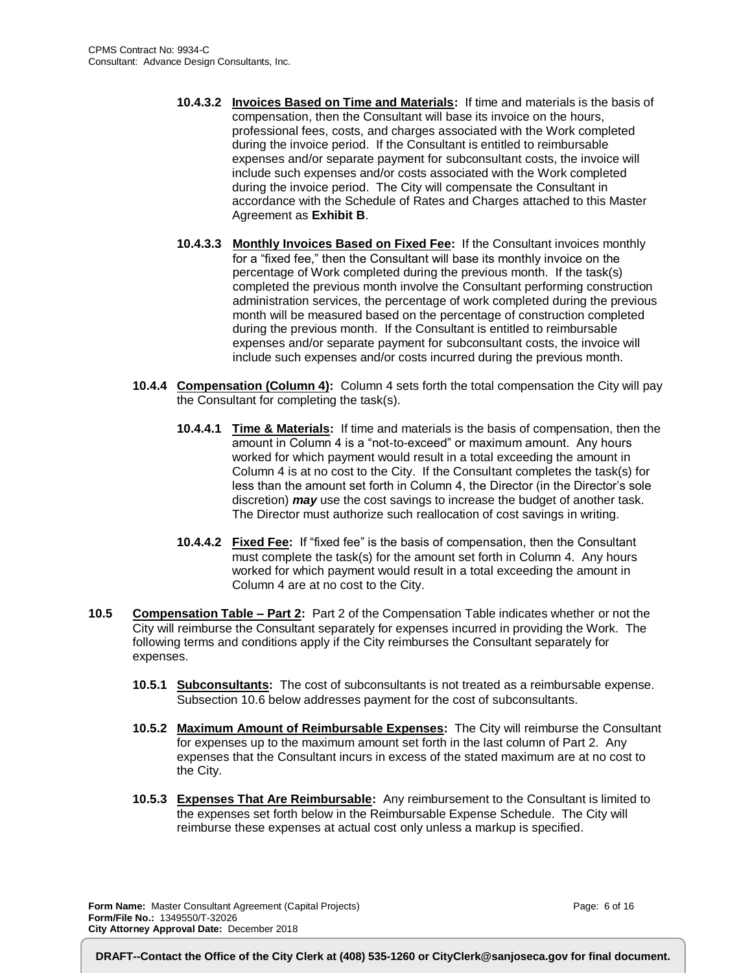- **10.4.3.2 Invoices Based on Time and Materials:** If time and materials is the basis of compensation, then the Consultant will base its invoice on the hours, professional fees, costs, and charges associated with the Work completed during the invoice period. If the Consultant is entitled to reimbursable expenses and/or separate payment for subconsultant costs, the invoice will include such expenses and/or costs associated with the Work completed during the invoice period. The City will compensate the Consultant in accordance with the Schedule of Rates and Charges attached to this Master Agreement as **Exhibit B**.
- **10.4.3.3 Monthly Invoices Based on Fixed Fee:** If the Consultant invoices monthly for a "fixed fee," then the Consultant will base its monthly invoice on the percentage of Work completed during the previous month. If the task(s) completed the previous month involve the Consultant performing construction administration services, the percentage of work completed during the previous month will be measured based on the percentage of construction completed during the previous month. If the Consultant is entitled to reimbursable expenses and/or separate payment for subconsultant costs, the invoice will include such expenses and/or costs incurred during the previous month.
- **10.4.4 Compensation (Column 4):** Column 4 sets forth the total compensation the City will pay the Consultant for completing the task(s).
	- **10.4.4.1 Time & Materials:** If time and materials is the basis of compensation, then the amount in Column 4 is a "not-to-exceed" or maximum amount. Any hours worked for which payment would result in a total exceeding the amount in Column 4 is at no cost to the City. If the Consultant completes the task(s) for less than the amount set forth in Column 4, the Director (in the Director's sole discretion) *may* use the cost savings to increase the budget of another task. The Director must authorize such reallocation of cost savings in writing.
	- **10.4.4.2 Fixed Fee:** If "fixed fee" is the basis of compensation, then the Consultant must complete the task(s) for the amount set forth in Column 4. Any hours worked for which payment would result in a total exceeding the amount in Column 4 are at no cost to the City.
- **10.5 Compensation Table – Part 2:** Part 2 of the Compensation Table indicates whether or not the City will reimburse the Consultant separately for expenses incurred in providing the Work. The following terms and conditions apply if the City reimburses the Consultant separately for expenses.
	- **10.5.1 Subconsultants:** The cost of subconsultants is not treated as a reimbursable expense. Subsection 10.6 below addresses payment for the cost of subconsultants.
	- **10.5.2 Maximum Amount of Reimbursable Expenses:** The City will reimburse the Consultant for expenses up to the maximum amount set forth in the last column of Part 2. Any expenses that the Consultant incurs in excess of the stated maximum are at no cost to the City.
	- **10.5.3 Expenses That Are Reimbursable:** Any reimbursement to the Consultant is limited to the expenses set forth below in the Reimbursable Expense Schedule. The City will reimburse these expenses at actual cost only unless a markup is specified.

**Form Name:** Master Consultant Agreement (Capital Projects) **Form/File No.:** 1349550/T-32026 **City Attorney Approval Date:** December 2018

Page: 6 of 16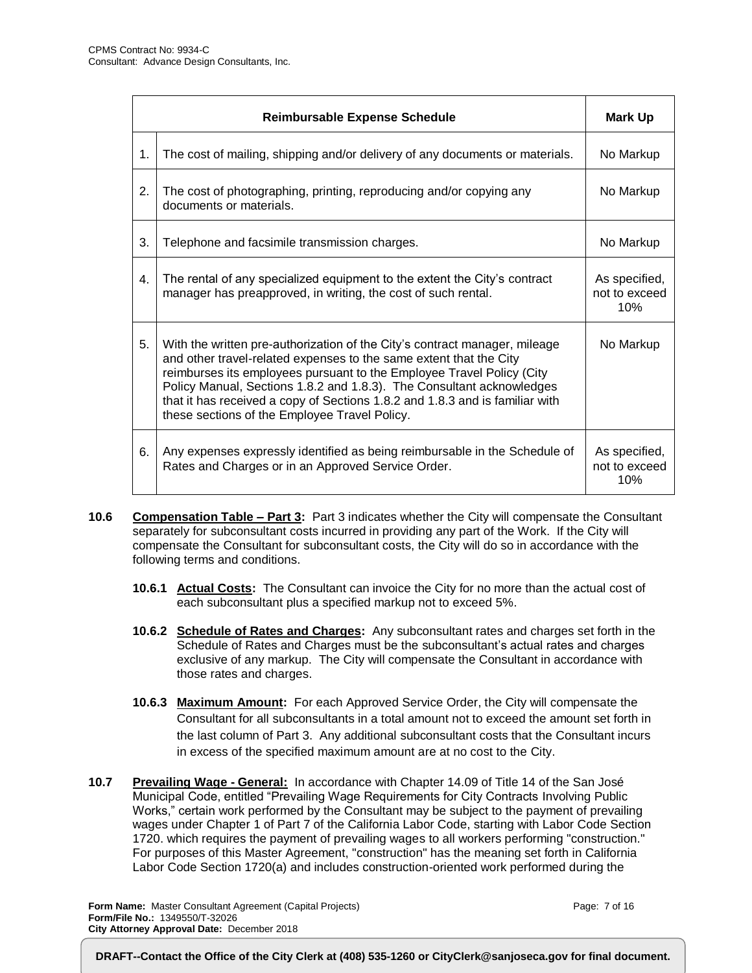|    | Mark Up                                                                                                                                                                                                                                                                                                                                                                                                                             |                                       |
|----|-------------------------------------------------------------------------------------------------------------------------------------------------------------------------------------------------------------------------------------------------------------------------------------------------------------------------------------------------------------------------------------------------------------------------------------|---------------------------------------|
| 1. | The cost of mailing, shipping and/or delivery of any documents or materials.                                                                                                                                                                                                                                                                                                                                                        | No Markup                             |
| 2. | The cost of photographing, printing, reproducing and/or copying any<br>documents or materials.                                                                                                                                                                                                                                                                                                                                      | No Markup                             |
| 3. | Telephone and facsimile transmission charges.                                                                                                                                                                                                                                                                                                                                                                                       | No Markup                             |
| 4. | The rental of any specialized equipment to the extent the City's contract<br>manager has preapproved, in writing, the cost of such rental.                                                                                                                                                                                                                                                                                          | As specified,<br>not to exceed<br>10% |
| 5. | With the written pre-authorization of the City's contract manager, mileage<br>and other travel-related expenses to the same extent that the City<br>reimburses its employees pursuant to the Employee Travel Policy (City<br>Policy Manual, Sections 1.8.2 and 1.8.3). The Consultant acknowledges<br>that it has received a copy of Sections 1.8.2 and 1.8.3 and is familiar with<br>these sections of the Employee Travel Policy. | No Markup                             |
| 6. | Any expenses expressly identified as being reimbursable in the Schedule of<br>Rates and Charges or in an Approved Service Order.                                                                                                                                                                                                                                                                                                    | As specified,<br>not to exceed<br>10% |

- **10.6 Compensation Table – Part 3:** Part 3 indicates whether the City will compensate the Consultant separately for subconsultant costs incurred in providing any part of the Work. If the City will compensate the Consultant for subconsultant costs, the City will do so in accordance with the following terms and conditions.
	- **10.6.1 Actual Costs:** The Consultant can invoice the City for no more than the actual cost of each subconsultant plus a specified markup not to exceed 5%.
	- **10.6.2 Schedule of Rates and Charges:** Any subconsultant rates and charges set forth in the Schedule of Rates and Charges must be the subconsultant's actual rates and charges exclusive of any markup. The City will compensate the Consultant in accordance with those rates and charges.
	- **10.6.3 Maximum Amount:** For each Approved Service Order, the City will compensate the Consultant for all subconsultants in a total amount not to exceed the amount set forth in the last column of Part 3. Any additional subconsultant costs that the Consultant incurs in excess of the specified maximum amount are at no cost to the City.
- **10.7 Prevailing Wage - General:** In accordance with Chapter 14.09 of Title 14 of the San José Municipal Code, entitled "Prevailing Wage Requirements for City Contracts Involving Public Works," certain work performed by the Consultant may be subject to the payment of prevailing wages under Chapter 1 of Part 7 of the California Labor Code, starting with Labor Code Section 1720. which requires the payment of prevailing wages to all workers performing "construction." For purposes of this Master Agreement, "construction" has the meaning set forth in California Labor Code Section 1720(a) and includes construction-oriented work performed during the

**Form Name:** Master Consultant Agreement (Capital Projects) **Form/File No.:** 1349550/T-32026 **City Attorney Approval Date:** December 2018

Page: 7 of 16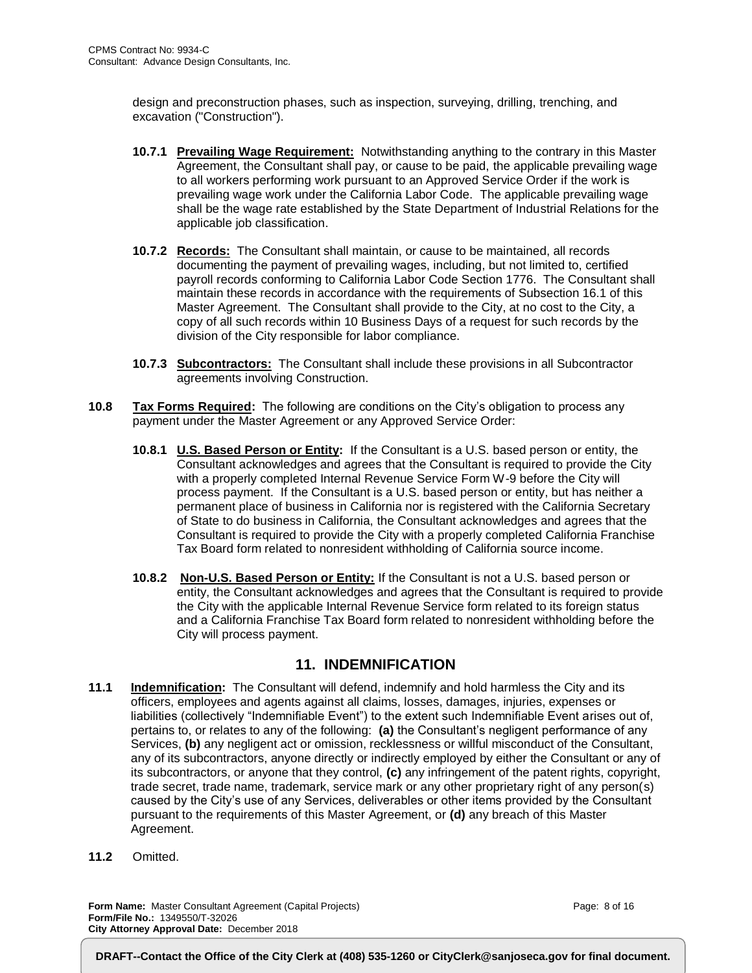design and preconstruction phases, such as inspection, surveying, drilling, trenching, and excavation ("Construction").

- **10.7.1 Prevailing Wage Requirement:** Notwithstanding anything to the contrary in this Master Agreement, the Consultant shall pay, or cause to be paid, the applicable prevailing wage to all workers performing work pursuant to an Approved Service Order if the work is prevailing wage work under the California Labor Code. The applicable prevailing wage shall be the wage rate established by the State Department of Industrial Relations for the applicable job classification.
- **10.7.2 Records:** The Consultant shall maintain, or cause to be maintained, all records documenting the payment of prevailing wages, including, but not limited to, certified payroll records conforming to California Labor Code Section 1776. The Consultant shall maintain these records in accordance with the requirements of Subsection 16.1 of this Master Agreement. The Consultant shall provide to the City, at no cost to the City, a copy of all such records within 10 Business Days of a request for such records by the division of the City responsible for labor compliance.
- **10.7.3 Subcontractors:** The Consultant shall include these provisions in all Subcontractor agreements involving Construction.
- **10.8 Tax Forms Required:** The following are conditions on the City's obligation to process any payment under the Master Agreement or any Approved Service Order:
	- **10.8.1 U.S. Based Person or Entity:** If the Consultant is a U.S. based person or entity, the Consultant acknowledges and agrees that the Consultant is required to provide the City with a properly completed Internal Revenue Service Form W-9 before the City will process payment. If the Consultant is a U.S. based person or entity, but has neither a permanent place of business in California nor is registered with the California Secretary of State to do business in California, the Consultant acknowledges and agrees that the Consultant is required to provide the City with a properly completed California Franchise Tax Board form related to nonresident withholding of California source income.
	- **10.8.2 Non-U.S. Based Person or Entity:** If the Consultant is not a U.S. based person or entity, the Consultant acknowledges and agrees that the Consultant is required to provide the City with the applicable Internal Revenue Service form related to its foreign status and a California Franchise Tax Board form related to nonresident withholding before the City will process payment.

#### **11. INDEMNIFICATION**

- **11.1 Indemnification:** The Consultant will defend, indemnify and hold harmless the City and its officers, employees and agents against all claims, losses, damages, injuries, expenses or liabilities (collectively "Indemnifiable Event") to the extent such Indemnifiable Event arises out of, pertains to, or relates to any of the following: **(a)** the Consultant's negligent performance of any Services, **(b)** any negligent act or omission, recklessness or willful misconduct of the Consultant, any of its subcontractors, anyone directly or indirectly employed by either the Consultant or any of its subcontractors, or anyone that they control, **(c)** any infringement of the patent rights, copyright, trade secret, trade name, trademark, service mark or any other proprietary right of any person(s) caused by the City's use of any Services, deliverables or other items provided by the Consultant pursuant to the requirements of this Master Agreement, or **(d)** any breach of this Master Agreement.
- **11.2** Omitted.

**Form Name:** Master Consultant Agreement (Capital Projects) **Form/File No.:** 1349550/T-32026 **City Attorney Approval Date:** December 2018

Page: 8 of 16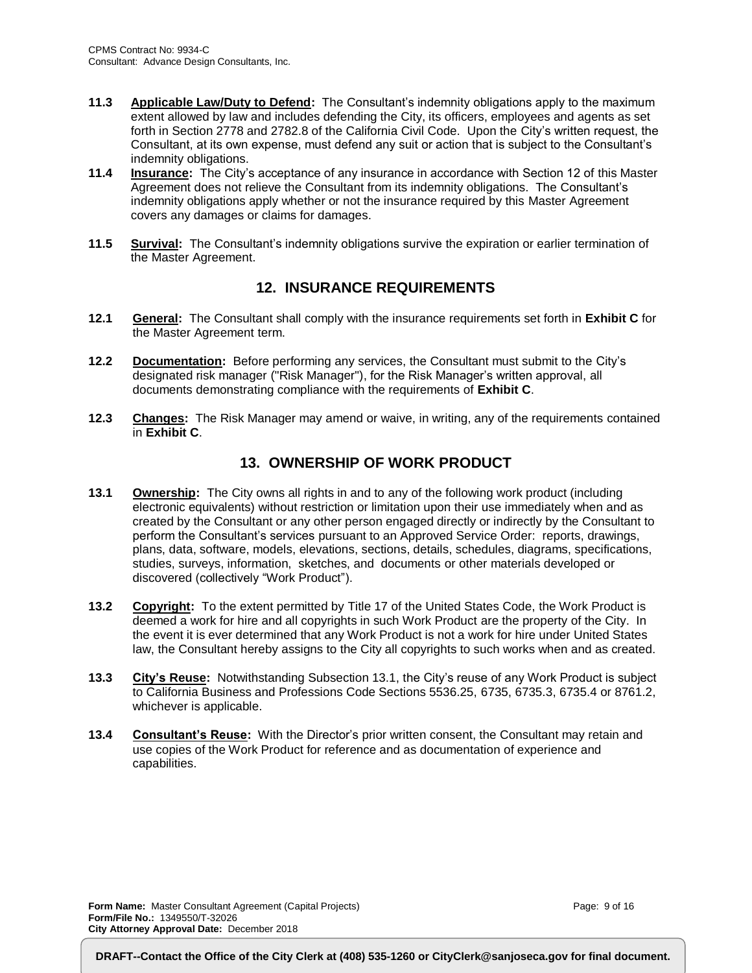- **11.3 Applicable Law/Duty to Defend:** The Consultant's indemnity obligations apply to the maximum extent allowed by law and includes defending the City, its officers, employees and agents as set forth in Section 2778 and 2782.8 of the California Civil Code. Upon the City's written request, the Consultant, at its own expense, must defend any suit or action that is subject to the Consultant's indemnity obligations.
- **11.4 Insurance:** The City's acceptance of any insurance in accordance with Section 12 of this Master Agreement does not relieve the Consultant from its indemnity obligations. The Consultant's indemnity obligations apply whether or not the insurance required by this Master Agreement covers any damages or claims for damages.
- **11.5 Survival:** The Consultant's indemnity obligations survive the expiration or earlier termination of the Master Agreement.

#### **12. INSURANCE REQUIREMENTS**

- **12.1 General:** The Consultant shall comply with the insurance requirements set forth in **Exhibit C** for the Master Agreement term.
- **12.2 Documentation:** Before performing any services, the Consultant must submit to the City's designated risk manager ("Risk Manager"), for the Risk Manager's written approval, all documents demonstrating compliance with the requirements of **Exhibit C**.
- **12.3 Changes:** The Risk Manager may amend or waive, in writing, any of the requirements contained in **Exhibit C**.

### **13. OWNERSHIP OF WORK PRODUCT**

- **13.1 Ownership:** The City owns all rights in and to any of the following work product (including electronic equivalents) without restriction or limitation upon their use immediately when and as created by the Consultant or any other person engaged directly or indirectly by the Consultant to perform the Consultant's services pursuant to an Approved Service Order: reports, drawings, plans, data, software, models, elevations, sections, details, schedules, diagrams, specifications, studies, surveys, information, sketches, and documents or other materials developed or discovered (collectively "Work Product").
- **13.2 Copyright:** To the extent permitted by Title 17 of the United States Code, the Work Product is deemed a work for hire and all copyrights in such Work Product are the property of the City. In the event it is ever determined that any Work Product is not a work for hire under United States law, the Consultant hereby assigns to the City all copyrights to such works when and as created.
- **13.3 City's Reuse:** Notwithstanding Subsection 13.1, the City's reuse of any Work Product is subject to California Business and Professions Code Sections 5536.25, 6735, 6735.3, 6735.4 or 8761.2, whichever is applicable.
- **13.4 Consultant's Reuse:** With the Director's prior written consent, the Consultant may retain and use copies of the Work Product for reference and as documentation of experience and capabilities.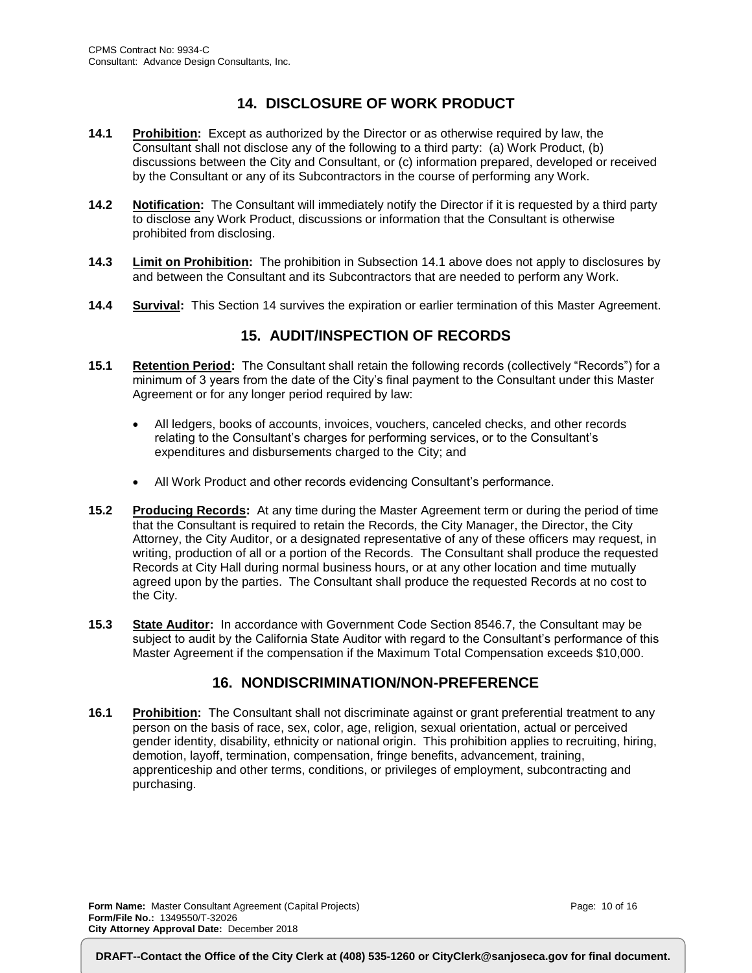## **14. DISCLOSURE OF WORK PRODUCT**

- **14.1 Prohibition:** Except as authorized by the Director or as otherwise required by law, the Consultant shall not disclose any of the following to a third party: (a) Work Product, (b) discussions between the City and Consultant, or (c) information prepared, developed or received by the Consultant or any of its Subcontractors in the course of performing any Work.
- **14.2 Notification:** The Consultant will immediately notify the Director if it is requested by a third party to disclose any Work Product, discussions or information that the Consultant is otherwise prohibited from disclosing.
- **14.3 Limit on Prohibition:** The prohibition in Subsection 14.1 above does not apply to disclosures by and between the Consultant and its Subcontractors that are needed to perform any Work.
- **14.4 Survival:** This Section 14 survives the expiration or earlier termination of this Master Agreement.

### **15. AUDIT/INSPECTION OF RECORDS**

- **15.1 Retention Period:** The Consultant shall retain the following records (collectively "Records") for a minimum of 3 years from the date of the City's final payment to the Consultant under this Master Agreement or for any longer period required by law:
	- All ledgers, books of accounts, invoices, vouchers, canceled checks, and other records relating to the Consultant's charges for performing services, or to the Consultant's expenditures and disbursements charged to the City; and
	- All Work Product and other records evidencing Consultant's performance.
- **15.2 Producing Records:** At any time during the Master Agreement term or during the period of time that the Consultant is required to retain the Records, the City Manager, the Director, the City Attorney, the City Auditor, or a designated representative of any of these officers may request, in writing, production of all or a portion of the Records. The Consultant shall produce the requested Records at City Hall during normal business hours, or at any other location and time mutually agreed upon by the parties. The Consultant shall produce the requested Records at no cost to the City.
- **15.3 State Auditor:** In accordance with Government Code Section 8546.7, the Consultant may be subject to audit by the California State Auditor with regard to the Consultant's performance of this Master Agreement if the compensation if the Maximum Total Compensation exceeds \$10,000.

#### **16. NONDISCRIMINATION/NON-PREFERENCE**

**16.1 Prohibition:** The Consultant shall not discriminate against or grant preferential treatment to any person on the basis of race, sex, color, age, religion, sexual orientation, actual or perceived gender identity, disability, ethnicity or national origin. This prohibition applies to recruiting, hiring, demotion, layoff, termination, compensation, fringe benefits, advancement, training, apprenticeship and other terms, conditions, or privileges of employment, subcontracting and purchasing.

**Form Name:** Master Consultant Agreement (Capital Projects) **Form/File No.:** 1349550/T-32026 **City Attorney Approval Date:** December 2018

Page: 10 of 16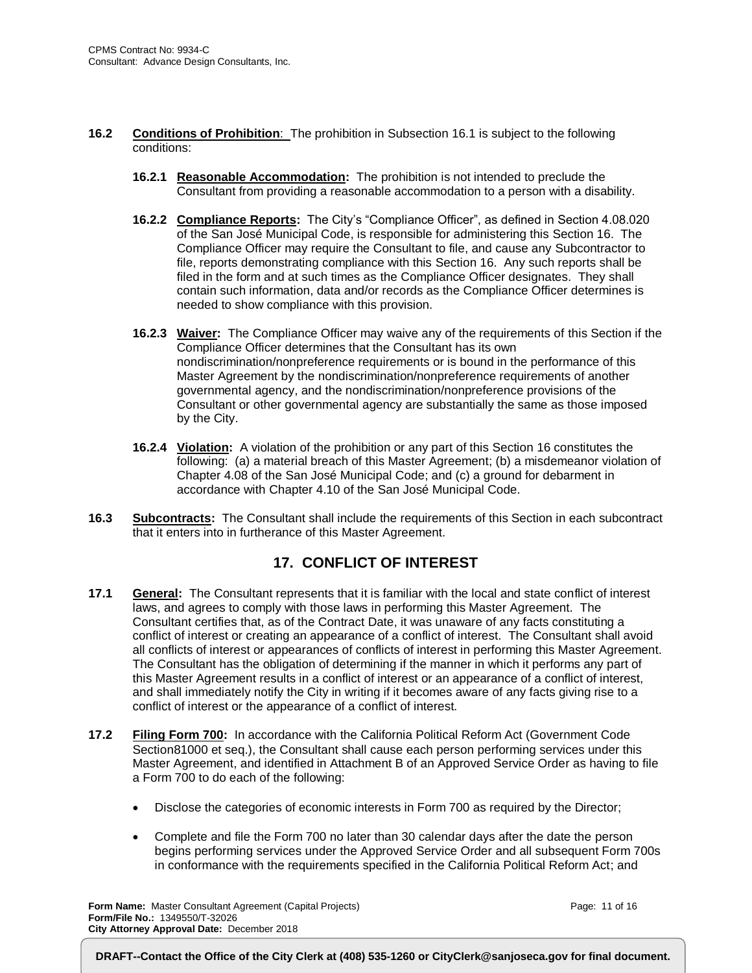- **16.2 Conditions of Prohibition**: The prohibition in Subsection 16.1 is subject to the following conditions:
	- **16.2.1 Reasonable Accommodation:** The prohibition is not intended to preclude the Consultant from providing a reasonable accommodation to a person with a disability.
	- **16.2.2 Compliance Reports:** The City's "Compliance Officer", as defined in Section 4.08.020 of the San José Municipal Code, is responsible for administering this Section 16. The Compliance Officer may require the Consultant to file, and cause any Subcontractor to file, reports demonstrating compliance with this Section 16. Any such reports shall be filed in the form and at such times as the Compliance Officer designates. They shall contain such information, data and/or records as the Compliance Officer determines is needed to show compliance with this provision.
	- **16.2.3 Waiver:** The Compliance Officer may waive any of the requirements of this Section if the Compliance Officer determines that the Consultant has its own nondiscrimination/nonpreference requirements or is bound in the performance of this Master Agreement by the nondiscrimination/nonpreference requirements of another governmental agency, and the nondiscrimination/nonpreference provisions of the Consultant or other governmental agency are substantially the same as those imposed by the City.
	- **16.2.4 Violation:** A violation of the prohibition or any part of this Section 16 constitutes the following: (a) a material breach of this Master Agreement; (b) a misdemeanor violation of Chapter 4.08 of the San José Municipal Code; and (c) a ground for debarment in accordance with Chapter 4.10 of the San José Municipal Code.
- **16.3 Subcontracts:** The Consultant shall include the requirements of this Section in each subcontract that it enters into in furtherance of this Master Agreement.

### **17. CONFLICT OF INTEREST**

- **17.1 General:** The Consultant represents that it is familiar with the local and state conflict of interest laws, and agrees to comply with those laws in performing this Master Agreement. The Consultant certifies that, as of the Contract Date, it was unaware of any facts constituting a conflict of interest or creating an appearance of a conflict of interest. The Consultant shall avoid all conflicts of interest or appearances of conflicts of interest in performing this Master Agreement. The Consultant has the obligation of determining if the manner in which it performs any part of this Master Agreement results in a conflict of interest or an appearance of a conflict of interest, and shall immediately notify the City in writing if it becomes aware of any facts giving rise to a conflict of interest or the appearance of a conflict of interest.
- **17.2 Filing Form 700:** In accordance with the California Political Reform Act (Government Code Section81000 et seq.), the Consultant shall cause each person performing services under this Master Agreement, and identified in Attachment B of an Approved Service Order as having to file a Form 700 to do each of the following:
	- Disclose the categories of economic interests in Form 700 as required by the Director;
	- Complete and file the Form 700 no later than 30 calendar days after the date the person begins performing services under the Approved Service Order and all subsequent Form 700s in conformance with the requirements specified in the California Political Reform Act; and

**Form Name:** Master Consultant Agreement (Capital Projects) **Form/File No.:** 1349550/T-32026 **City Attorney Approval Date:** December 2018

Page: 11 of 16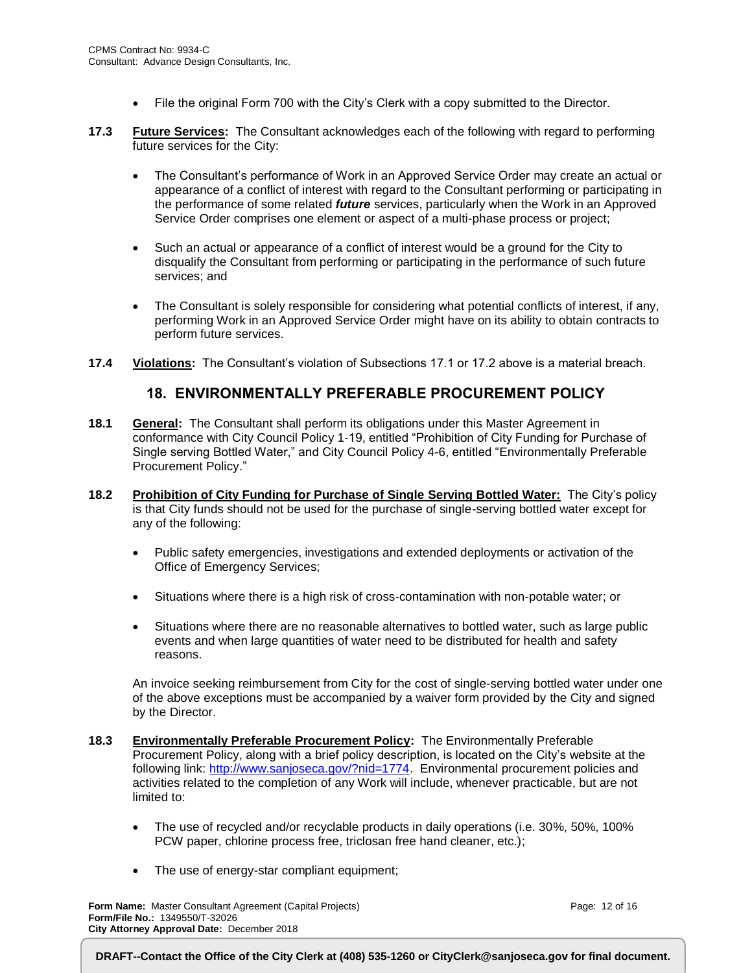- File the original Form 700 with the City's Clerk with a copy submitted to the Director.
- **17.3 Future Services:** The Consultant acknowledges each of the following with regard to performing future services for the City:
	- The Consultant's performance of Work in an Approved Service Order may create an actual or appearance of a conflict of interest with regard to the Consultant performing or participating in the performance of some related *future* services, particularly when the Work in an Approved Service Order comprises one element or aspect of a multi-phase process or project;
	- Such an actual or appearance of a conflict of interest would be a ground for the City to disqualify the Consultant from performing or participating in the performance of such future services; and
	- The Consultant is solely responsible for considering what potential conflicts of interest, if any, performing Work in an Approved Service Order might have on its ability to obtain contracts to perform future services.
- **17.4 Violations:** The Consultant's violation of Subsections 17.1 or 17.2 above is a material breach.

#### **18. ENVIRONMENTALLY PREFERABLE PROCUREMENT POLICY**

- **18.1 General:** The Consultant shall perform its obligations under this Master Agreement in conformance with City Council Policy 1-19, entitled "Prohibition of City Funding for Purchase of Single serving Bottled Water," and City Council Policy 4-6, entitled "Environmentally Preferable Procurement Policy."
- **18.2 Prohibition of City Funding for Purchase of Single Serving Bottled Water:** The City's policy is that City funds should not be used for the purchase of single-serving bottled water except for any of the following:
	- Public safety emergencies, investigations and extended deployments or activation of the Office of Emergency Services;
	- Situations where there is a high risk of cross-contamination with non-potable water; or
	- Situations where there are no reasonable alternatives to bottled water, such as large public events and when large quantities of water need to be distributed for health and safety reasons.

An invoice seeking reimbursement from City for the cost of single-serving bottled water under one of the above exceptions must be accompanied by a waiver form provided by the City and signed by the Director.

- **18.3 Environmentally Preferable Procurement Policy:** The Environmentally Preferable Procurement Policy, along with a brief policy description, is located on the City's website at the following link: [http://www.sanjoseca.gov/?nid=1774.](http://www.sanjoseca.gov/?nid=1774) Environmental procurement policies and activities related to the completion of any Work will include, whenever practicable, but are not limited to:
	- The use of recycled and/or recyclable products in daily operations (i.e. 30%, 50%, 100% PCW paper, chlorine process free, triclosan free hand cleaner, etc.);
	- The use of energy-star compliant equipment;

**Form Name:** Master Consultant Agreement (Capital Projects) **Form/File No.:** 1349550/T-32026 **City Attorney Approval Date:** December 2018

Page: 12 of 16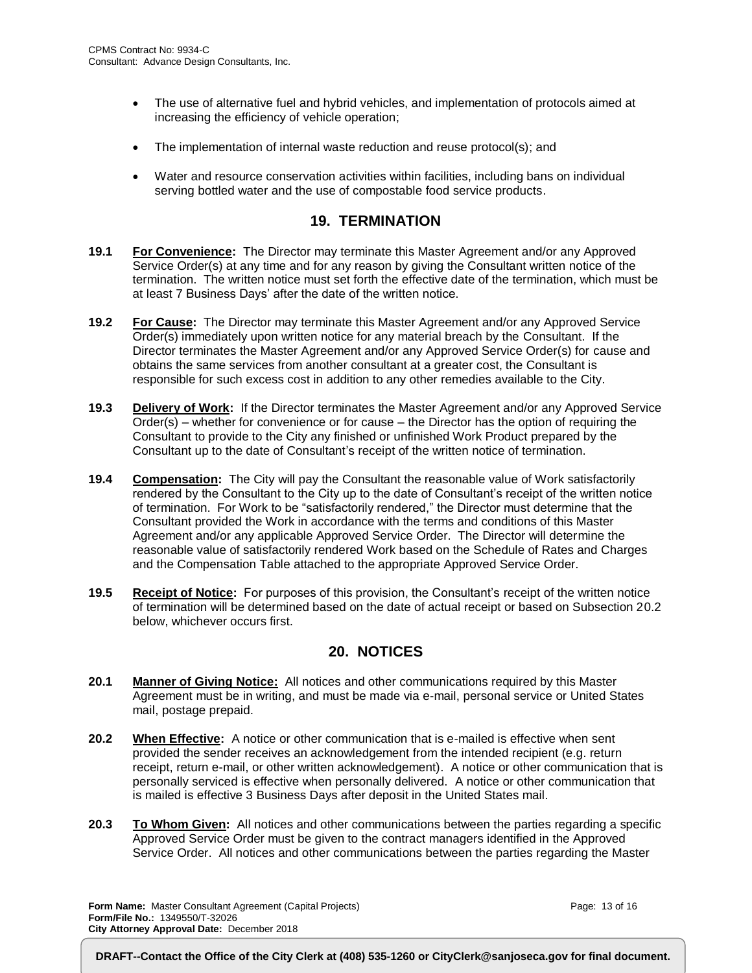- The use of alternative fuel and hybrid vehicles, and implementation of protocols aimed at increasing the efficiency of vehicle operation;
- The implementation of internal waste reduction and reuse protocol(s); and
- Water and resource conservation activities within facilities, including bans on individual serving bottled water and the use of compostable food service products.

#### **19. TERMINATION**

- **19.1 For Convenience:** The Director may terminate this Master Agreement and/or any Approved Service Order(s) at any time and for any reason by giving the Consultant written notice of the termination. The written notice must set forth the effective date of the termination, which must be at least 7 Business Days' after the date of the written notice.
- **19.2 For Cause:** The Director may terminate this Master Agreement and/or any Approved Service Order(s) immediately upon written notice for any material breach by the Consultant. If the Director terminates the Master Agreement and/or any Approved Service Order(s) for cause and obtains the same services from another consultant at a greater cost, the Consultant is responsible for such excess cost in addition to any other remedies available to the City.
- **19.3 Delivery of Work:** If the Director terminates the Master Agreement and/or any Approved Service Order(s) – whether for convenience or for cause – the Director has the option of requiring the Consultant to provide to the City any finished or unfinished Work Product prepared by the Consultant up to the date of Consultant's receipt of the written notice of termination.
- **19.4 Compensation:** The City will pay the Consultant the reasonable value of Work satisfactorily rendered by the Consultant to the City up to the date of Consultant's receipt of the written notice of termination. For Work to be "satisfactorily rendered," the Director must determine that the Consultant provided the Work in accordance with the terms and conditions of this Master Agreement and/or any applicable Approved Service Order. The Director will determine the reasonable value of satisfactorily rendered Work based on the Schedule of Rates and Charges and the Compensation Table attached to the appropriate Approved Service Order.
- **19.5 Receipt of Notice:** For purposes of this provision, the Consultant's receipt of the written notice of termination will be determined based on the date of actual receipt or based on Subsection 20.2 below, whichever occurs first.

#### **20. NOTICES**

- **20.1 Manner of Giving Notice:** All notices and other communications required by this Master Agreement must be in writing, and must be made via e-mail, personal service or United States mail, postage prepaid.
- **20.2 When Effective:** A notice or other communication that is e-mailed is effective when sent provided the sender receives an acknowledgement from the intended recipient (e.g. return receipt, return e-mail, or other written acknowledgement). A notice or other communication that is personally serviced is effective when personally delivered. A notice or other communication that is mailed is effective 3 Business Days after deposit in the United States mail.
- **20.3 To Whom Given:** All notices and other communications between the parties regarding a specific Approved Service Order must be given to the contract managers identified in the Approved Service Order. All notices and other communications between the parties regarding the Master

**Form Name:** Master Consultant Agreement (Capital Projects) **Form/File No.:** 1349550/T-32026 **City Attorney Approval Date:** December 2018

Page: 13 of 16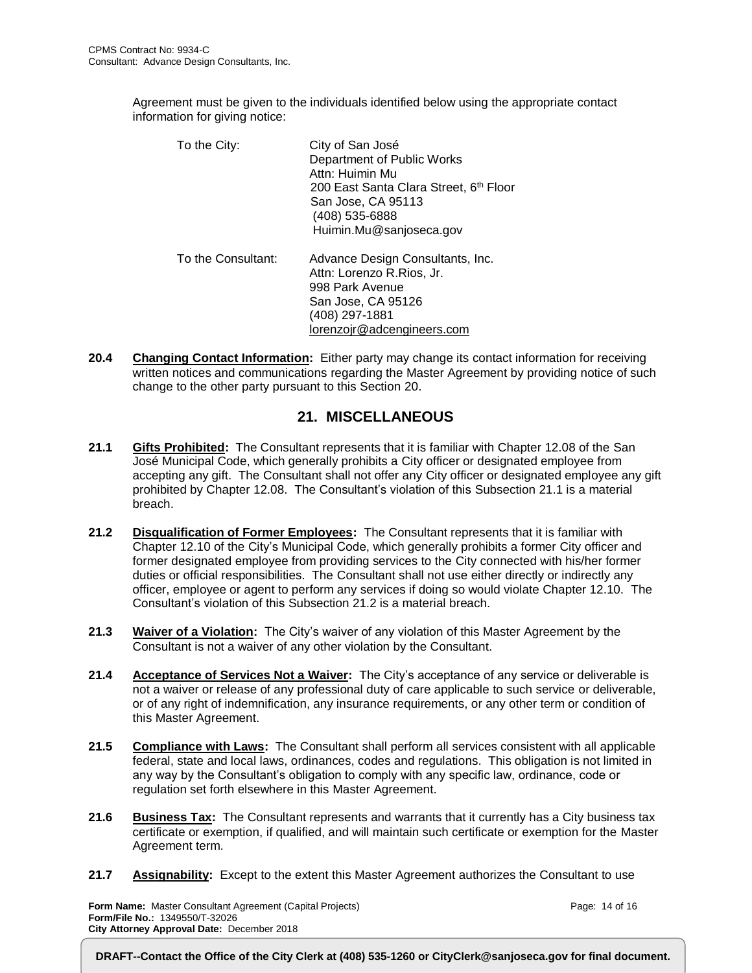Agreement must be given to the individuals identified below using the appropriate contact information for giving notice:

| To the City:       | City of San José<br>Department of Public Works<br>Attn: Huimin Mu<br>200 East Santa Clara Street, 6th Floor<br>San Jose, CA 95113<br>(408) 535-6888<br>Huimin.Mu@sanjoseca.gov |
|--------------------|--------------------------------------------------------------------------------------------------------------------------------------------------------------------------------|
| To the Consultant: | Advance Design Consultants, Inc.<br>Attn: Lorenzo R.Rios, Jr.<br>998 Park Avenue<br>San Jose, CA 95126<br>(408) 297-1881<br>lorenzojr@adcengineers.com                         |

**20.4 Changing Contact Information:** Either party may change its contact information for receiving written notices and communications regarding the Master Agreement by providing notice of such change to the other party pursuant to this Section 20.

#### **21. MISCELLANEOUS**

- **21.1 Gifts Prohibited:** The Consultant represents that it is familiar with Chapter 12.08 of the San José Municipal Code, which generally prohibits a City officer or designated employee from accepting any gift. The Consultant shall not offer any City officer or designated employee any gift prohibited by Chapter 12.08. The Consultant's violation of this Subsection 21.1 is a material breach.
- **21.2 Disqualification of Former Employees:** The Consultant represents that it is familiar with Chapter 12.10 of the City's Municipal Code, which generally prohibits a former City officer and former designated employee from providing services to the City connected with his/her former duties or official responsibilities. The Consultant shall not use either directly or indirectly any officer, employee or agent to perform any services if doing so would violate Chapter 12.10. The Consultant's violation of this Subsection 21.2 is a material breach.
- **21.3 Waiver of a Violation:** The City's waiver of any violation of this Master Agreement by the Consultant is not a waiver of any other violation by the Consultant.
- **21.4 Acceptance of Services Not a Waiver:** The City's acceptance of any service or deliverable is not a waiver or release of any professional duty of care applicable to such service or deliverable, or of any right of indemnification, any insurance requirements, or any other term or condition of this Master Agreement.
- **21.5 Compliance with Laws:** The Consultant shall perform all services consistent with all applicable federal, state and local laws, ordinances, codes and regulations. This obligation is not limited in any way by the Consultant's obligation to comply with any specific law, ordinance, code or regulation set forth elsewhere in this Master Agreement.
- **21.6 Business Tax:** The Consultant represents and warrants that it currently has a City business tax certificate or exemption, if qualified, and will maintain such certificate or exemption for the Master Agreement term.
- **21.7 Assignability:** Except to the extent this Master Agreement authorizes the Consultant to use

**Form Name:** Master Consultant Agreement (Capital Projects) **Form/File No.:** 1349550/T-32026 **City Attorney Approval Date:** December 2018

Page: 14 of 16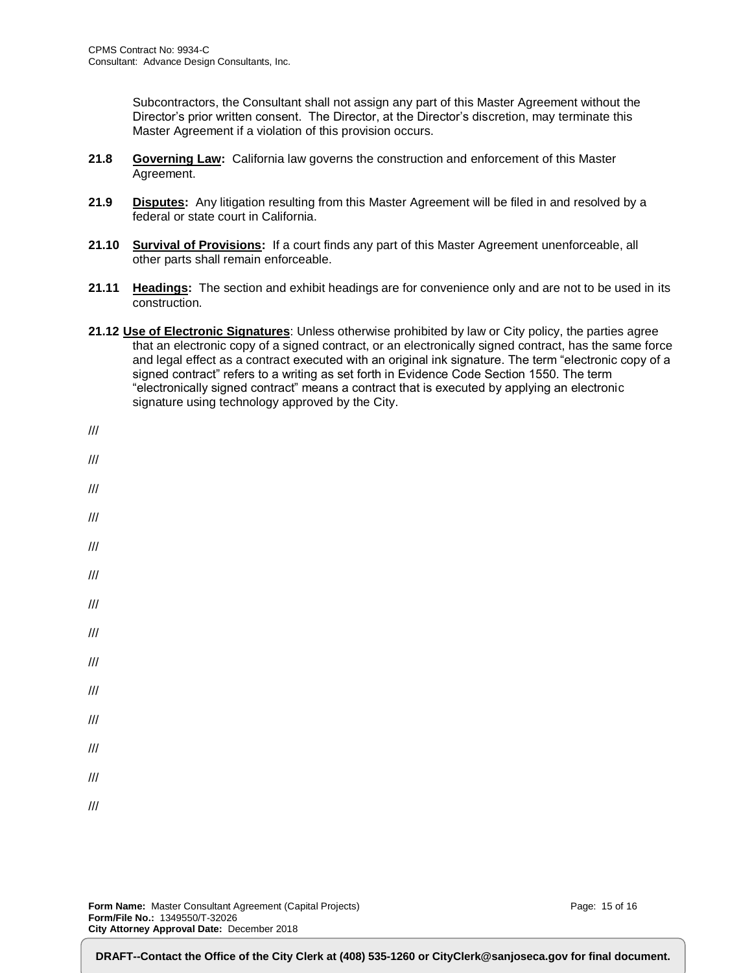Subcontractors, the Consultant shall not assign any part of this Master Agreement without the Director's prior written consent. The Director, at the Director's discretion, may terminate this Master Agreement if a violation of this provision occurs.

- **21.8 Governing Law:** California law governs the construction and enforcement of this Master Agreement.
- **21.9 Disputes:** Any litigation resulting from this Master Agreement will be filed in and resolved by a federal or state court in California.
- **21.10 Survival of Provisions:** If a court finds any part of this Master Agreement unenforceable, all other parts shall remain enforceable.
- **21.11 Headings:** The section and exhibit headings are for convenience only and are not to be used in its construction.
- **21.12 Use of Electronic Signatures**: Unless otherwise prohibited by law or City policy, the parties agree that an electronic copy of a signed contract, or an electronically signed contract, has the same force and legal effect as a contract executed with an original ink signature. The term "electronic copy of a signed contract" refers to a writing as set forth in Evidence Code Section 1550. The term "electronically signed contract" means a contract that is executed by applying an electronic signature using technology approved by the City.

| $\frac{1}{2}$                                 |  |  |  |
|-----------------------------------------------|--|--|--|
| $\ensuremath{/\! \! /} \ensuremath{/\! \! /}$ |  |  |  |
| $\ensuremath{/\! \! /} \ensuremath{/\! \! /}$ |  |  |  |
| $\frac{1}{2}$                                 |  |  |  |
| $\ensuremath{/\! \! /} \ensuremath{/\! \! /}$ |  |  |  |
| $\frac{1}{2}$                                 |  |  |  |
| $\frac{1}{2}$                                 |  |  |  |
| $\frac{1}{2}$                                 |  |  |  |
| $\ensuremath{/\! \! /} \ensuremath{/\! \! /}$ |  |  |  |
| $\ensuremath{/\! \! /} \ensuremath{/\! \! /}$ |  |  |  |
| $\frac{1}{2}$                                 |  |  |  |
| $\ensuremath{/\! \! /} \ensuremath{/\! \! /}$ |  |  |  |
| $\frac{1}{2}$                                 |  |  |  |
| $\frac{1}{2}$                                 |  |  |  |
|                                               |  |  |  |

**Form Name:** Master Consultant Agreement (Capital Projects) **Form/File No.:** 1349550/T-32026 **City Attorney Approval Date:** December 2018

Page: 15 of 16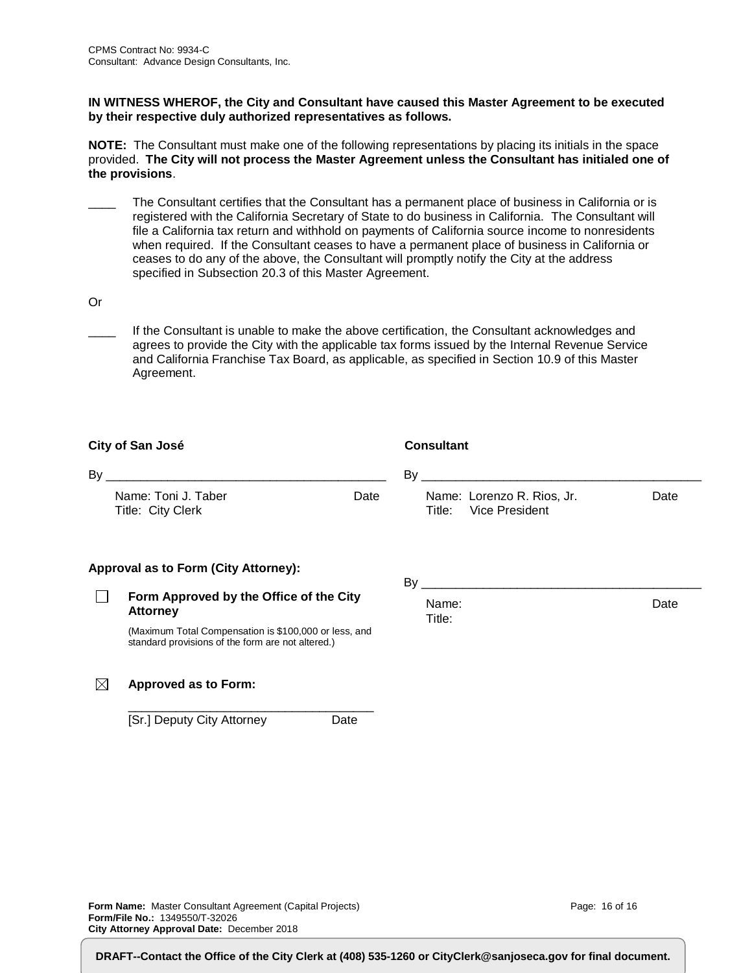#### **IN WITNESS WHEROF, the City and Consultant have caused this Master Agreement to be executed by their respective duly authorized representatives as follows.**

**NOTE:** The Consultant must make one of the following representations by placing its initials in the space provided. **The City will not process the Master Agreement unless the Consultant has initialed one of the provisions**.

- The Consultant certifies that the Consultant has a permanent place of business in California or is registered with the California Secretary of State to do business in California. The Consultant will file a California tax return and withhold on payments of California source income to nonresidents when required. If the Consultant ceases to have a permanent place of business in California or ceases to do any of the above, the Consultant will promptly notify the City at the address specified in Subsection 20.3 of this Master Agreement.
- Or
	- If the Consultant is unable to make the above certification, the Consultant acknowledges and agrees to provide the City with the applicable tax forms issued by the Internal Revenue Service and California Franchise Tax Board, as applicable, as specified in Section 10.9 of this Master Agreement.

| City of San José |                                                                                                            | <b>Consultant</b>                                      |      |  |
|------------------|------------------------------------------------------------------------------------------------------------|--------------------------------------------------------|------|--|
| By               | <u> 1980 - John Stein, Amerikaansk politiker (</u>                                                         | By                                                     |      |  |
|                  | Name: Toni J. Taber<br>Date<br>Title: City Clerk                                                           | Name: Lorenzo R. Rios, Jr.<br>Vice President<br>Title: | Date |  |
|                  | Approval as to Form (City Attorney):                                                                       | By                                                     |      |  |
|                  | Form Approved by the Office of the City<br><b>Attorney</b>                                                 | Name:<br>Title:                                        | Date |  |
|                  | (Maximum Total Compensation is \$100,000 or less, and<br>standard provisions of the form are not altered.) |                                                        |      |  |
| IX               | <b>Approved as to Form:</b>                                                                                |                                                        |      |  |

\_\_\_\_\_\_\_\_\_\_\_\_\_\_\_\_\_\_\_\_\_\_\_\_\_\_\_\_\_\_\_\_\_\_\_\_ [Sr.] Deputy City Attorney Date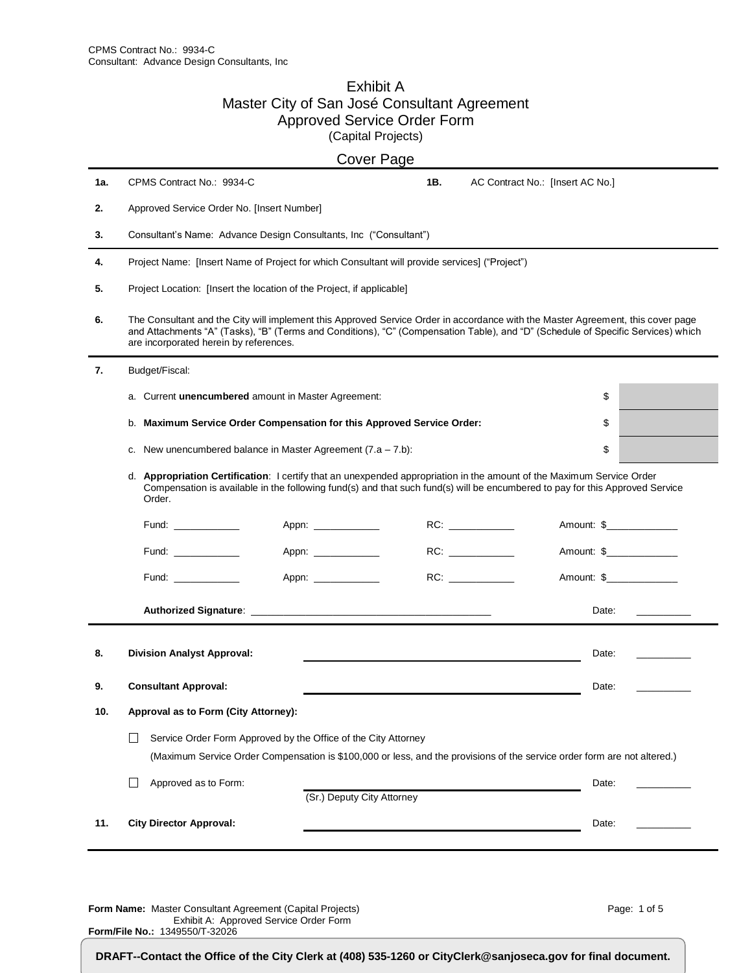#### Exhibit A Master City of San José Consultant Agreement Approved Service Order Form (Capital Projects)

|     | Cover Page                                                                                                                                                                                                                                                                                                    |                                                                                                                          |     |  |                                  |                                                                     |
|-----|---------------------------------------------------------------------------------------------------------------------------------------------------------------------------------------------------------------------------------------------------------------------------------------------------------------|--------------------------------------------------------------------------------------------------------------------------|-----|--|----------------------------------|---------------------------------------------------------------------|
| 1а. | CPMS Contract No.: 9934-C                                                                                                                                                                                                                                                                                     |                                                                                                                          | 1B. |  | AC Contract No.: [Insert AC No.] |                                                                     |
| 2.  | Approved Service Order No. [Insert Number]                                                                                                                                                                                                                                                                    |                                                                                                                          |     |  |                                  |                                                                     |
| 3.  | Consultant's Name: Advance Design Consultants, Inc ("Consultant")                                                                                                                                                                                                                                             |                                                                                                                          |     |  |                                  |                                                                     |
| 4.  | Project Name: [Insert Name of Project for which Consultant will provide services] ("Project")                                                                                                                                                                                                                 |                                                                                                                          |     |  |                                  |                                                                     |
| 5.  | Project Location: [Insert the location of the Project, if applicable]                                                                                                                                                                                                                                         |                                                                                                                          |     |  |                                  |                                                                     |
| 6.  | The Consultant and the City will implement this Approved Service Order in accordance with the Master Agreement, this cover page<br>and Attachments "A" (Tasks), "B" (Terms and Conditions), "C" (Compensation Table), and "D" (Schedule of Specific Services) which<br>are incorporated herein by references. |                                                                                                                          |     |  |                                  |                                                                     |
| 7.  | Budget/Fiscal:                                                                                                                                                                                                                                                                                                |                                                                                                                          |     |  |                                  |                                                                     |
|     | a. Current unencumbered amount in Master Agreement:                                                                                                                                                                                                                                                           |                                                                                                                          |     |  | \$                               |                                                                     |
|     | b.                                                                                                                                                                                                                                                                                                            | Maximum Service Order Compensation for this Approved Service Order:                                                      |     |  | \$                               |                                                                     |
|     | c. New unencumbered balance in Master Agreement $(7.a - 7.b)$ :                                                                                                                                                                                                                                               |                                                                                                                          |     |  | \$                               |                                                                     |
|     | d. Appropriation Certification: I certify that an unexpended appropriation in the amount of the Maximum Service Order<br>Compensation is available in the following fund(s) and that such fund(s) will be encumbered to pay for this Approved Service<br>Order.                                               |                                                                                                                          |     |  |                                  |                                                                     |
|     | Fund: $\frac{1}{2}$                                                                                                                                                                                                                                                                                           | Appn: _____________                                                                                                      |     |  | Amount: \$_______________        |                                                                     |
|     | Fund: $\frac{1}{2}$                                                                                                                                                                                                                                                                                           | Appn: _____________                                                                                                      |     |  | Amount: \$                       |                                                                     |
|     | Fund: $\frac{1}{\sqrt{1-\frac{1}{2}}\cdot\frac{1}{\sqrt{1-\frac{1}{2}}\cdot\frac{1}{2}}\cdot\frac{1}{\sqrt{1-\frac{1}{2}}\cdot\frac{1}{2}}$                                                                                                                                                                   | Appn: ___________                                                                                                        |     |  | Amount: \$                       |                                                                     |
|     |                                                                                                                                                                                                                                                                                                               |                                                                                                                          |     |  | Date:                            | $\frac{1}{2}$ and $\frac{1}{2}$ and $\frac{1}{2}$ and $\frac{1}{2}$ |
| 8.  | <b>Division Analyst Approval:</b>                                                                                                                                                                                                                                                                             |                                                                                                                          |     |  | Date:                            |                                                                     |
| 9.  | <b>Consultant Approval:</b>                                                                                                                                                                                                                                                                                   |                                                                                                                          |     |  | Date:                            |                                                                     |
| 10. | Approval as to Form (City Attorney):                                                                                                                                                                                                                                                                          |                                                                                                                          |     |  |                                  |                                                                     |
|     | $\mathsf{L}$                                                                                                                                                                                                                                                                                                  | Service Order Form Approved by the Office of the City Attorney                                                           |     |  |                                  |                                                                     |
|     |                                                                                                                                                                                                                                                                                                               | (Maximum Service Order Compensation is \$100,000 or less, and the provisions of the service order form are not altered.) |     |  |                                  |                                                                     |
|     | Approved as to Form:                                                                                                                                                                                                                                                                                          | (Sr.) Deputy City Attorney                                                                                               |     |  | Date:                            |                                                                     |
|     |                                                                                                                                                                                                                                                                                                               |                                                                                                                          |     |  |                                  |                                                                     |
| 11. | <b>City Director Approval:</b>                                                                                                                                                                                                                                                                                |                                                                                                                          |     |  | Date:                            |                                                                     |

**Form Name:** Master Consultant Agreement (Capital Projects) Exhibit A: Approved Service Order Form **Form/File No.:** 1349550/T-32026

Page: 1 of 5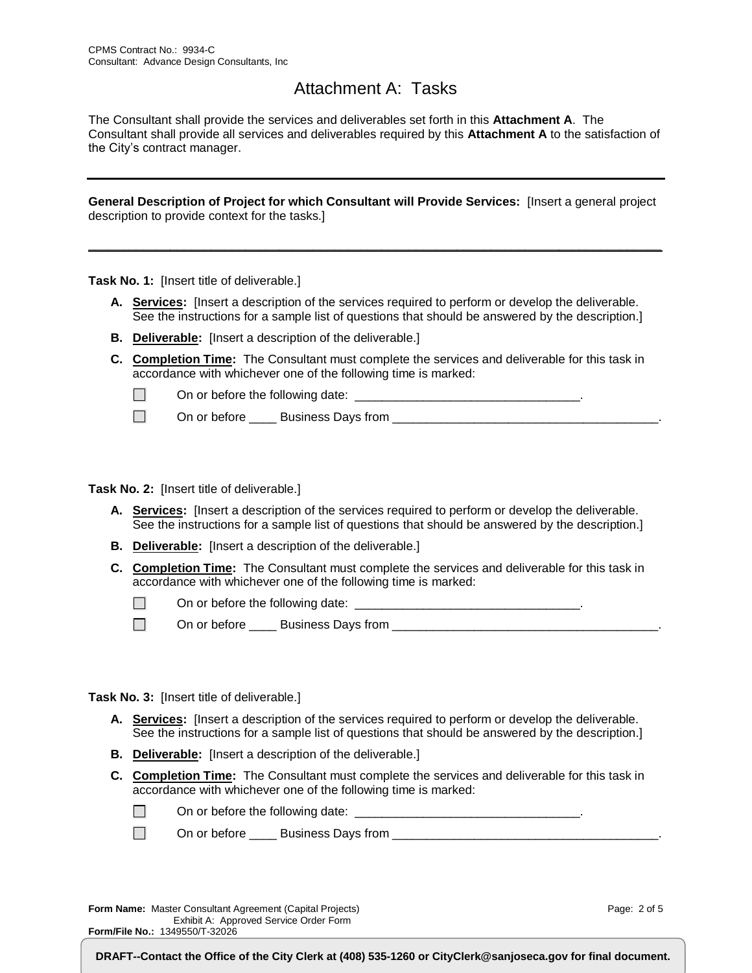## Attachment A: Tasks

The Consultant shall provide the services and deliverables set forth in this **Attachment A**. The Consultant shall provide all services and deliverables required by this **Attachment A** to the satisfaction of the City's contract manager.

**General Description of Project for which Consultant will Provide Services:** [Insert a general project description to provide context for the tasks.]

**\_\_\_\_\_\_\_\_\_\_\_\_\_\_\_\_\_\_\_\_\_\_\_\_\_\_\_\_\_\_\_\_\_\_\_\_\_\_\_\_\_\_\_\_\_\_\_\_\_\_\_\_\_\_\_\_\_\_\_\_\_\_\_\_\_\_\_\_\_\_\_\_\_\_\_\_\_\_\_\_\_\_\_\_**

**Task No. 1:** [Insert title of deliverable.]

- **A. Services:** [Insert a description of the services required to perform or develop the deliverable. See the instructions for a sample list of questions that should be answered by the description.]
- **B. Deliverable:** [Insert a description of the deliverable.]
- **C. Completion Time:** The Consultant must complete the services and deliverable for this task in accordance with whichever one of the following time is marked:

 $\Box$ On or before the following date:  $\Box$ 

On or before \_\_\_\_ Business Days from \_\_\_\_\_\_\_\_\_\_\_\_\_\_\_\_\_\_\_\_\_\_\_\_\_\_\_\_\_\_\_\_\_\_\_\_\_\_\_.  $\Box$ 

**Task No. 2:** [Insert title of deliverable.]

- **A. Services:** [Insert a description of the services required to perform or develop the deliverable. See the instructions for a sample list of questions that should be answered by the description.]
- **B. Deliverable:** [Insert a description of the deliverable.]
- **C. Completion Time:** The Consultant must complete the services and deliverable for this task in accordance with whichever one of the following time is marked:

 $\Box$ On or before the following date: \_\_\_\_\_\_\_\_\_\_\_\_\_\_\_\_\_\_\_\_\_\_\_\_\_\_\_\_\_\_\_\_\_.

 $\Box$ On or before \_\_\_\_ Business Days from \_\_\_\_\_\_\_\_\_\_\_\_\_\_\_\_\_\_\_\_\_\_\_\_\_\_\_\_\_\_\_\_\_\_\_\_\_\_\_.

**Task No. 3:** [Insert title of deliverable.]

- **A. Services:** [Insert a description of the services required to perform or develop the deliverable. See the instructions for a sample list of questions that should be answered by the description.]
- **B. Deliverable:** [Insert a description of the deliverable.]
- **C. Completion Time:** The Consultant must complete the services and deliverable for this task in accordance with whichever one of the following time is marked:

| On or before the following date: |  |
|----------------------------------|--|
|----------------------------------|--|

 $\Box$ On or before \_\_\_\_ Business Days from \_\_\_\_\_\_\_\_\_\_\_\_\_\_\_\_\_\_\_\_\_\_\_\_\_\_\_\_\_\_\_\_\_\_\_\_\_\_\_.

**Form Name:** Master Consultant Agreement (Capital Projects) Exhibit A: Approved Service Order Form **Form/File No.:** 1349550/T-32026

Page: 2 of 5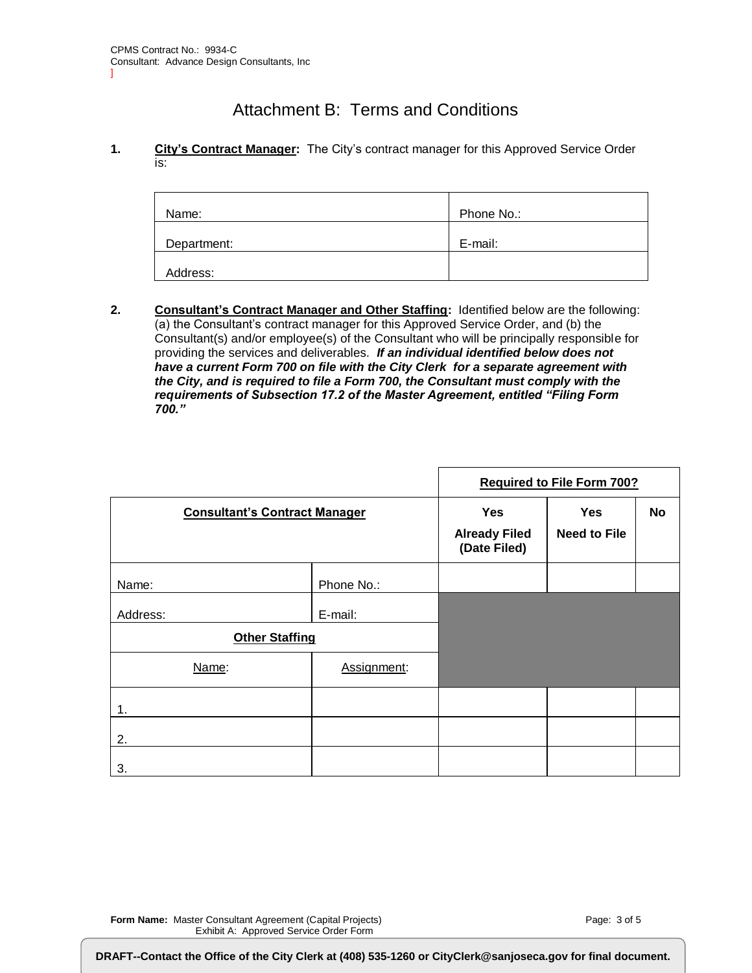## Attachment B: Terms and Conditions

#### **1. City's Contract Manager:** The City's contract manager for this Approved Service Order is:

| Name:       | Phone No.: |
|-------------|------------|
| Department: | E-mail:    |
| Address:    |            |

**2. Consultant's Contract Manager and Other Staffing:** Identified below are the following: (a) the Consultant's contract manager for this Approved Service Order, and (b) the Consultant(s) and/or employee(s) of the Consultant who will be principally responsible for providing the services and deliverables. *If an individual identified below does not have a current Form 700 on file with the City Clerk for a separate agreement with the City, and is required to file a Form 700, the Consultant must comply with the requirements of Subsection 17.2 of the Master Agreement, entitled "Filing Form 700."*

|                                      |                                                    |                                   | <b>Required to File Form 700?</b> |  |
|--------------------------------------|----------------------------------------------------|-----------------------------------|-----------------------------------|--|
| <b>Consultant's Contract Manager</b> | <b>Yes</b><br><b>Already Filed</b><br>(Date Filed) | <b>Yes</b><br><b>Need to File</b> | No                                |  |
| Name:                                | Phone No.:                                         |                                   |                                   |  |
| Address:                             | E-mail:                                            |                                   |                                   |  |
| <b>Other Staffing</b>                |                                                    |                                   |                                   |  |
| Name:                                | Assignment:                                        |                                   |                                   |  |
| 1.                                   |                                                    |                                   |                                   |  |
| 2.                                   |                                                    |                                   |                                   |  |
| 3.                                   |                                                    |                                   |                                   |  |

**Form Name:** Master Consultant Agreement (Capital Projects) Exhibit A: Approved Service Order Form

**Form/File No.:** 1349550/T-32026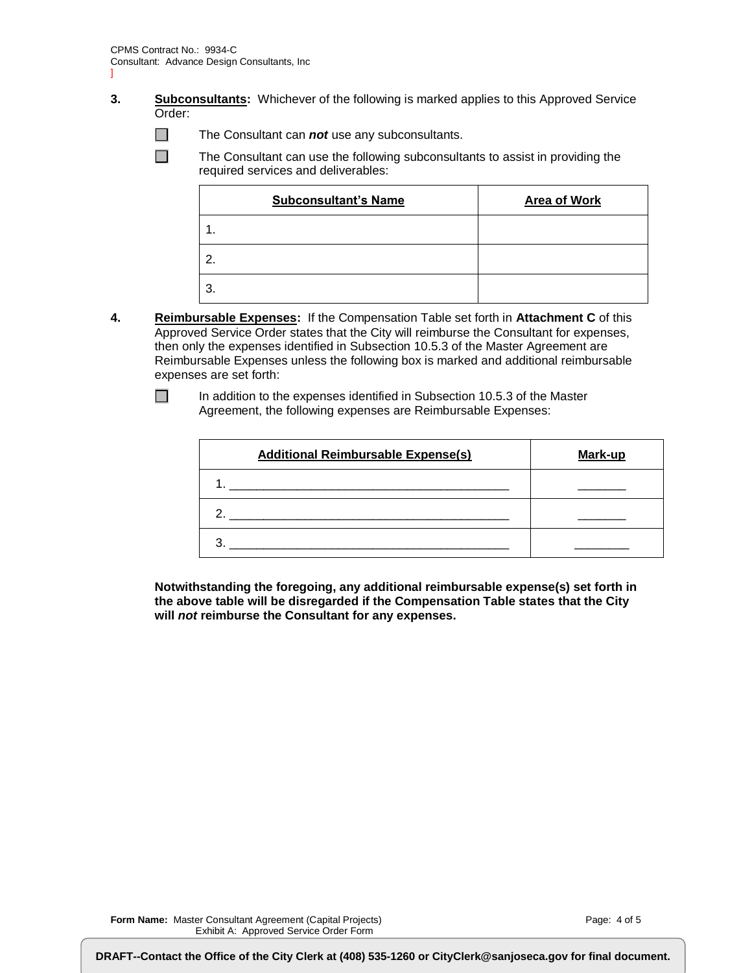- ]
- **3. Subconsultants:** Whichever of the following is marked applies to this Approved Service Order:
	- The Consultant can *not* use any subconsultants.

The Consultant can use the following subconsultants to assist in providing the required services and deliverables:

| <b>Subconsultant's Name</b> | <b>Area of Work</b> |
|-----------------------------|---------------------|
| $\mathbf 1$ .               |                     |
| 2.                          |                     |
| 3.                          |                     |

**4. Reimbursable Expenses:** If the Compensation Table set forth in **Attachment C** of this Approved Service Order states that the City will reimburse the Consultant for expenses, then only the expenses identified in Subsection 10.5.3 of the Master Agreement are Reimbursable Expenses unless the following box is marked and additional reimbursable expenses are set forth:

 $\Box$  $\Box$ 

> In addition to the expenses identified in Subsection 10.5.3 of the Master Agreement, the following expenses are Reimbursable Expenses:

| <b>Additional Reimbursable Expense(s)</b> | Mark-up |
|-------------------------------------------|---------|
|                                           |         |
|                                           |         |
|                                           |         |

**Notwithstanding the foregoing, any additional reimbursable expense(s) set forth in the above table will be disregarded if the Compensation Table states that the City will** *not* **reimburse the Consultant for any expenses.**

**Form/File No.:** 1349550/T-32026

 $\Box$ 

DRAFT--Contact the Office of the City Clerk at (408) 535-1260 or CityClerk@sanjoseca.gov for final document.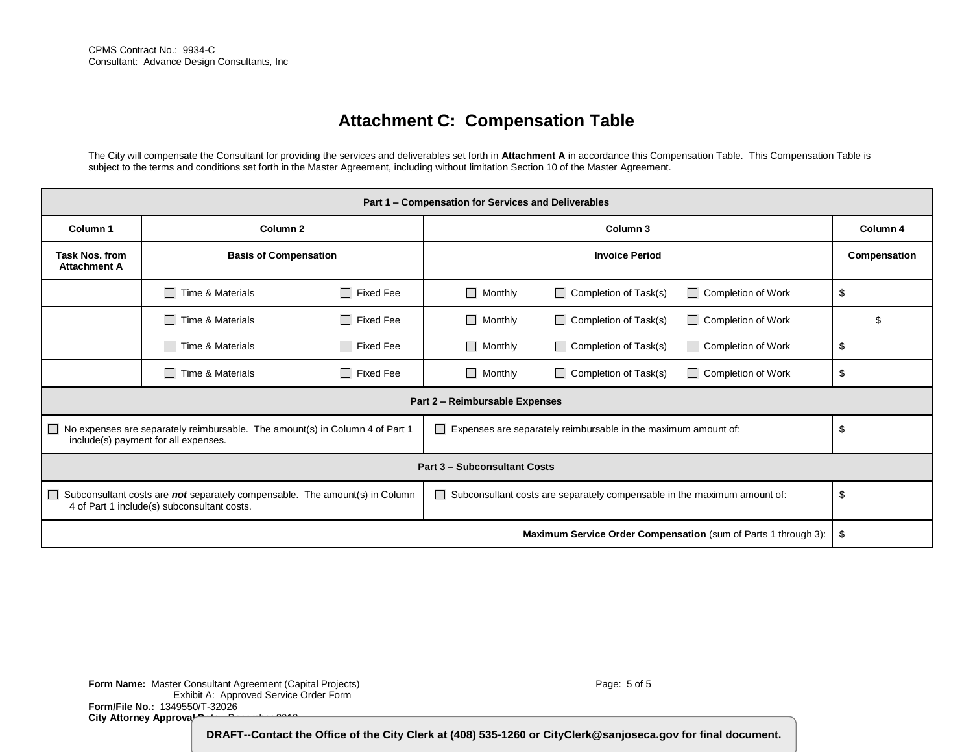# **Attachment C: Compensation Table**

The City will compensate the Consultant for providing the services and deliverables set forth in **Attachment A** in accordance this Compensation Table. This Compensation Table is subject to the terms and conditions set forth in the Master Agreement, including without limitation Section 10 of the Master Agreement.

| Part 1 - Compensation for Services and Deliverables                                                                                                                                                                              |                              |                            |                                |                                 |                           |    |
|----------------------------------------------------------------------------------------------------------------------------------------------------------------------------------------------------------------------------------|------------------------------|----------------------------|--------------------------------|---------------------------------|---------------------------|----|
| Column <sub>2</sub><br>Column <sub>1</sub>                                                                                                                                                                                       |                              | Column 3                   |                                |                                 | Column 4                  |    |
| <b>Task Nos. from</b><br><b>Attachment A</b>                                                                                                                                                                                     | <b>Basis of Compensation</b> |                            | <b>Invoice Period</b>          |                                 | Compensation              |    |
|                                                                                                                                                                                                                                  | Time & Materials<br>$\Box$   | П<br>Fixed Fee             | $\Box$ Monthly                 | Completion of Task(s)<br>П      | $\Box$ Completion of Work | \$ |
|                                                                                                                                                                                                                                  | Time & Materials<br>$\Box$   | $\Box$<br><b>Fixed Fee</b> | $\Box$ Monthly                 | Completion of Task(s)<br>$\Box$ | $\Box$ Completion of Work | \$ |
|                                                                                                                                                                                                                                  | $\Box$ Time & Materials      | П<br><b>Fixed Fee</b>      | $\Box$ Monthly                 | Completion of Task(s)<br>П      | $\Box$ Completion of Work | \$ |
|                                                                                                                                                                                                                                  | Time & Materials<br>$\Box$   | <b>Fixed Fee</b><br>П      | $\Box$ Monthly                 | Completion of Task(s)<br>П      | $\Box$ Completion of Work | \$ |
|                                                                                                                                                                                                                                  |                              |                            | Part 2 - Reimbursable Expenses |                                 |                           |    |
| $\Box$ No expenses are separately reimbursable. The amount(s) in Column 4 of Part 1<br>Expenses are separately reimbursable in the maximum amount of:<br>$\Box$<br>include(s) payment for all expenses.                          |                              |                            |                                | \$                              |                           |    |
| <b>Part 3 - Subconsultant Costs</b>                                                                                                                                                                                              |                              |                            |                                |                                 |                           |    |
| Subconsultant costs are not separately compensable. The amount(s) in Column<br>Subconsultant costs are separately compensable in the maximum amount of:<br>$\Box$<br>$\mathbf{L}$<br>4 of Part 1 include(s) subconsultant costs. |                              |                            |                                | \$                              |                           |    |
| <b>Maximum Service Order Compensation</b> (sum of Parts 1 through 3):                                                                                                                                                            |                              |                            |                                |                                 | \$                        |    |

**Form Name:** Master Consultant Agreement (Capital Projects) Exhibit A: Approved Service Order Form **Form/File No.:** 1349550/T-32026 City Attorney Approval **Date:** December 2019

Page: 5 of 5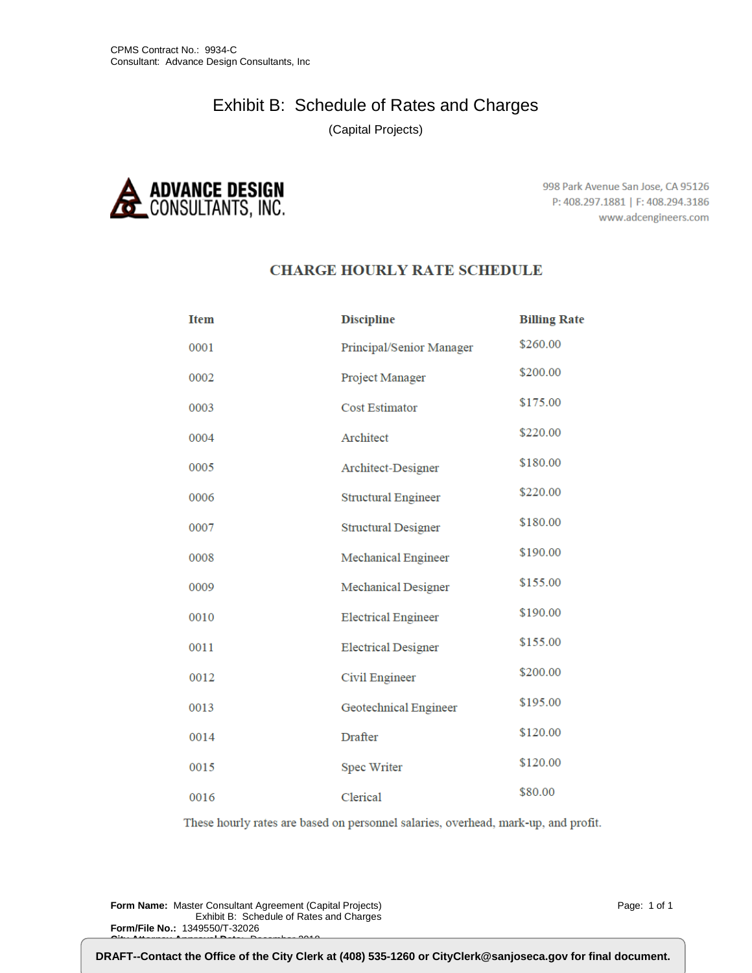# Exhibit B: Schedule of Rates and Charges

(Capital Projects)



998 Park Avenue San Jose, CA 95126 P: 408.297.1881 | F: 408.294.3186 www.adcengineers.com

#### **CHARGE HOURLY RATE SCHEDULE**

| <b>Item</b> | <b>Discipline</b>            | <b>Billing Rate</b> |
|-------------|------------------------------|---------------------|
| 0001        | Principal/Senior Manager     | \$260.00            |
| 0002        | Project Manager              | \$200.00            |
| 0003        | <b>Cost Estimator</b>        | \$175.00            |
| 0004        | Architect                    | \$220.00            |
| 0005        | Architect-Designer           | \$180.00            |
| 0006        | <b>Structural Engineer</b>   | \$220.00            |
| 0007        | <b>Structural Designer</b>   | \$180.00            |
| 0008        | <b>Mechanical Engineer</b>   | \$190.00            |
| 0009        | <b>Mechanical Designer</b>   | \$155.00            |
| 0010        | <b>Electrical Engineer</b>   | \$190.00            |
| 0011        | <b>Electrical Designer</b>   | \$155.00            |
| 0012        | Civil Engineer               | \$200.00            |
| 0013        | <b>Geotechnical Engineer</b> | \$195.00            |
| 0014        | Drafter                      | \$120.00            |
| 0015        | <b>Spec Writer</b>           | \$120.00            |
| 0016        | Clerical                     | \$80.00             |

These hourly rates are based on personnel salaries, overhead, mark-up, and profit.

**Form Name:** Master Consultant Agreement (Capital Projects) Exhibit B: Schedule of Rates and Charges **Form/File No.:** 1349550/T-32026 **City Attorney Approval Date:** December 2018

Page: 1 of 1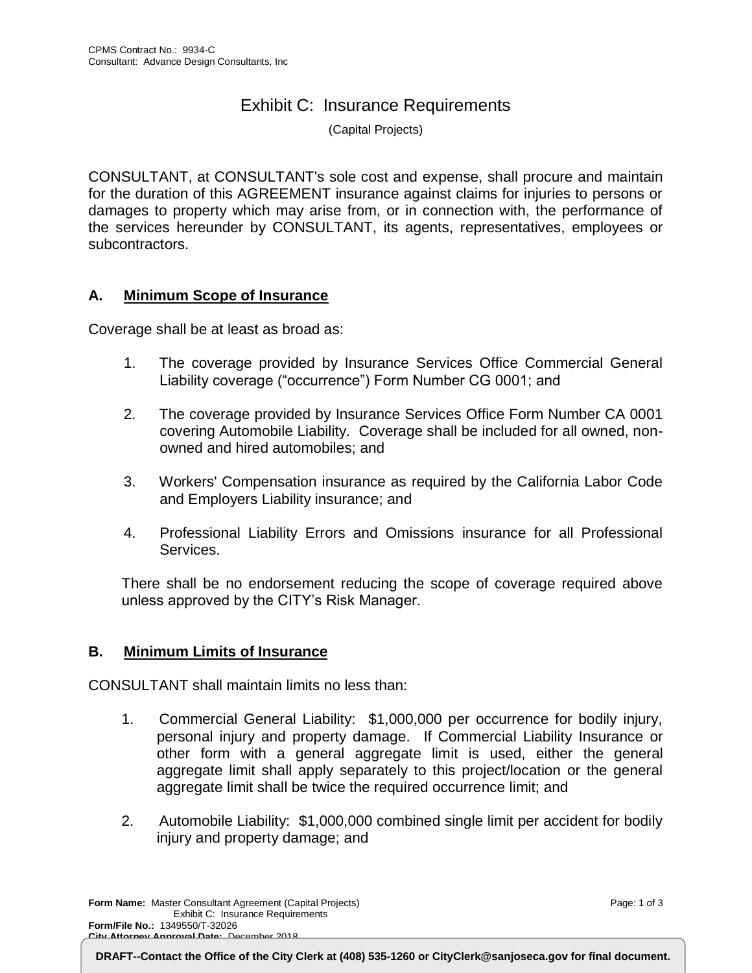## Exhibit C: Insurance Requirements

(Capital Projects)

CONSULTANT, at CONSULTANT's sole cost and expense, shall procure and maintain for the duration of this AGREEMENT insurance against claims for injuries to persons or damages to property which may arise from, or in connection with, the performance of the services hereunder by CONSULTANT, its agents, representatives, employees or subcontractors.

#### **A. Minimum Scope of Insurance**

Coverage shall be at least as broad as:

- 1. The coverage provided by Insurance Services Office Commercial General Liability coverage ("occurrence") Form Number CG 0001; and
- 2. The coverage provided by Insurance Services Office Form Number CA 0001 covering Automobile Liability. Coverage shall be included for all owned, nonowned and hired automobiles; and
- 3. Workers' Compensation insurance as required by the California Labor Code and Employers Liability insurance; and
- 4. Professional Liability Errors and Omissions insurance for all Professional Services.

There shall be no endorsement reducing the scope of coverage required above unless approved by the CITY's Risk Manager.

#### **B. Minimum Limits of Insurance**

CONSULTANT shall maintain limits no less than:

- 1. Commercial General Liability: \$1,000,000 per occurrence for bodily injury, personal injury and property damage. If Commercial Liability Insurance or other form with a general aggregate limit is used, either the general aggregate limit shall apply separately to this project/location or the general aggregate limit shall be twice the required occurrence limit; and
- 2. Automobile Liability: \$1,000,000 combined single limit per accident for bodily injury and property damage; and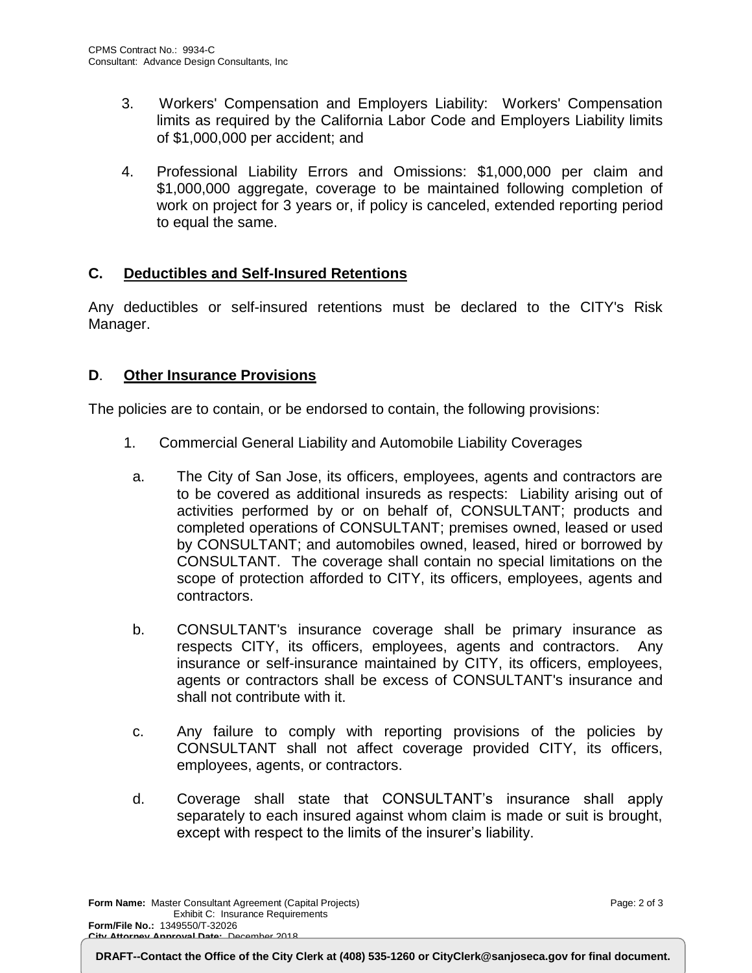- 3. Workers' Compensation and Employers Liability: Workers' Compensation limits as required by the California Labor Code and Employers Liability limits of \$1,000,000 per accident; and
- 4. Professional Liability Errors and Omissions: \$1,000,000 per claim and \$1,000,000 aggregate, coverage to be maintained following completion of work on project for 3 years or, if policy is canceled, extended reporting period to equal the same.

#### **C. Deductibles and Self-Insured Retentions**

Any deductibles or self-insured retentions must be declared to the CITY's Risk Manager.

#### **D**. **Other Insurance Provisions**

The policies are to contain, or be endorsed to contain, the following provisions:

- 1. Commercial General Liability and Automobile Liability Coverages
	- a. The City of San Jose, its officers, employees, agents and contractors are to be covered as additional insureds as respects: Liability arising out of activities performed by or on behalf of, CONSULTANT; products and completed operations of CONSULTANT; premises owned, leased or used by CONSULTANT; and automobiles owned, leased, hired or borrowed by CONSULTANT. The coverage shall contain no special limitations on the scope of protection afforded to CITY, its officers, employees, agents and contractors.
	- b. CONSULTANT's insurance coverage shall be primary insurance as respects CITY, its officers, employees, agents and contractors. Any insurance or self-insurance maintained by CITY, its officers, employees, agents or contractors shall be excess of CONSULTANT's insurance and shall not contribute with it.
	- c. Any failure to comply with reporting provisions of the policies by CONSULTANT shall not affect coverage provided CITY, its officers, employees, agents, or contractors.
	- d. Coverage shall state that CONSULTANT's insurance shall apply separately to each insured against whom claim is made or suit is brought, except with respect to the limits of the insurer's liability.